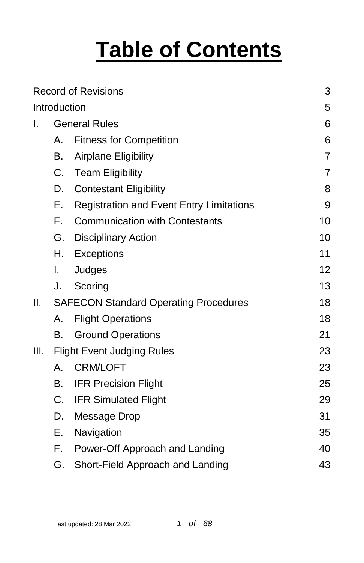# **Table of Contents**

|      |                                              | <b>Record of Revisions</b>                      | 3              |
|------|----------------------------------------------|-------------------------------------------------|----------------|
|      | Introduction                                 |                                                 | 5              |
| I.   | <b>General Rules</b>                         | 6                                               |                |
|      | А.                                           | <b>Fitness for Competition</b>                  | 6              |
|      | В.                                           | Airplane Eligibility                            | $\overline{7}$ |
|      | C.                                           | <b>Team Eligibility</b>                         | $\overline{7}$ |
|      | D.                                           | <b>Contestant Eligibility</b>                   | 8              |
|      | Е.                                           | <b>Registration and Event Entry Limitations</b> | 9              |
|      | F.                                           | <b>Communication with Contestants</b>           | 10             |
|      | G.                                           | <b>Disciplinary Action</b>                      | 10             |
|      | Η.                                           | Exceptions                                      | 11             |
|      | I.                                           | Judges                                          | 12             |
|      | J.                                           | Scoring                                         | 13             |
| II.  | <b>SAFECON Standard Operating Procedures</b> | 18                                              |                |
|      | А.                                           | <b>Flight Operations</b>                        | 18             |
|      | В.                                           | <b>Ground Operations</b>                        | 21             |
| III. | <b>Flight Event Judging Rules</b>            | 23                                              |                |
|      | А.                                           | <b>CRM/LOFT</b>                                 | 23             |
|      | В.                                           | <b>IFR Precision Flight</b>                     | 25             |
|      | $C_{\cdot}$                                  | <b>IFR Simulated Flight</b>                     | 29             |
|      | D.                                           | Message Drop                                    | 31             |
|      | Е.                                           | Navigation                                      | 35             |
|      | F.                                           | Power-Off Approach and Landing                  | 40             |
|      | G.                                           | Short-Field Approach and Landing                | 43             |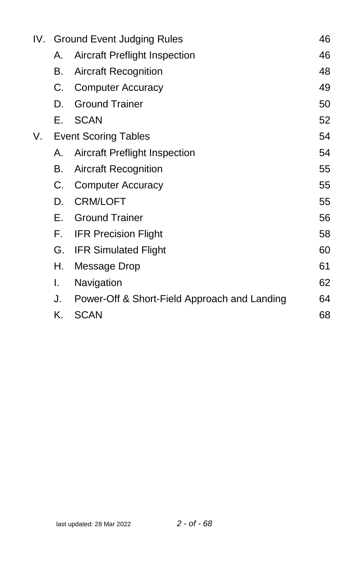|    |    | IV. Ground Event Judging Rules               | 46 |
|----|----|----------------------------------------------|----|
|    | Α. | <b>Aircraft Preflight Inspection</b>         | 46 |
|    | В. | <b>Aircraft Recognition</b>                  | 48 |
|    | C. | <b>Computer Accuracy</b>                     | 49 |
|    | D. | <b>Ground Trainer</b>                        | 50 |
|    | Е. | <b>SCAN</b>                                  | 52 |
| V. |    | <b>Event Scoring Tables</b>                  | 54 |
|    | Α. | <b>Aircraft Preflight Inspection</b>         | 54 |
|    | В. | <b>Aircraft Recognition</b>                  | 55 |
|    | C. | <b>Computer Accuracy</b>                     | 55 |
|    | D. | <b>CRM/LOFT</b>                              | 55 |
|    | Е. | <b>Ground Trainer</b>                        | 56 |
|    | F. | <b>IFR Precision Flight</b>                  | 58 |
|    | G. | <b>IFR Simulated Flight</b>                  | 60 |
|    | Н. | Message Drop                                 | 61 |
|    | I. | Navigation                                   | 62 |
|    | J. | Power-Off & Short-Field Approach and Landing | 64 |
|    | Κ. | <b>SCAN</b>                                  | 68 |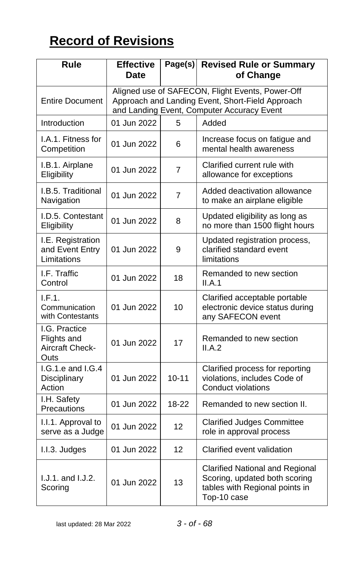# <span id="page-2-0"></span>**Record of Revisions**

| Rule                                                    | <b>Effective</b><br><b>Date</b>                                                                                                                    |           | Page(s) Revised Rule or Summary<br>of Change                                                                             |
|---------------------------------------------------------|----------------------------------------------------------------------------------------------------------------------------------------------------|-----------|--------------------------------------------------------------------------------------------------------------------------|
| <b>Entire Document</b>                                  | Aligned use of SAFECON, Flight Events, Power-Off<br>Approach and Landing Event, Short-Field Approach<br>and Landing Event, Computer Accuracy Event |           |                                                                                                                          |
| Introduction                                            | 01 Jun 2022                                                                                                                                        | 5         | Added                                                                                                                    |
| I.A.1. Fitness for<br>Competition                       | 01 Jun 2022                                                                                                                                        | 6         | Increase focus on fatigue and<br>mental health awareness                                                                 |
| I.B.1. Airplane<br>Eligibility                          | 01 Jun 2022                                                                                                                                        | 7         | Clarified current rule with<br>allowance for exceptions                                                                  |
| I.B.5. Traditional<br>Navigation                        | 01 Jun 2022                                                                                                                                        | 7         | Added deactivation allowance<br>to make an airplane eligible                                                             |
| I.D.5. Contestant<br>Eligibility                        | 01 Jun 2022                                                                                                                                        | 8         | Updated eligibility as long as<br>no more than 1500 flight hours                                                         |
| I.E. Registration<br>and Event Entry<br>Limitations     | 01 Jun 2022                                                                                                                                        | 9         | Updated registration process,<br>clarified standard event<br>limitations                                                 |
| I.F. Traffic<br>Control                                 | 01 Jun 2022                                                                                                                                        | 18        | Remanded to new section<br>II.A.1                                                                                        |
| I.F.1.<br>Communication<br>with Contestants             | 01 Jun 2022                                                                                                                                        | 10        | Clarified acceptable portable<br>electronic device status during<br>any SAFECON event                                    |
| I.G. Practice<br>Flights and<br>Aircraft Check-<br>Outs | 01 Jun 2022                                                                                                                                        | 17        | Remanded to new section<br>II.A.2                                                                                        |
| $I.G.1.e.$ and $I.G.4$<br>Disciplinary<br>Action        | 01 Jun 2022                                                                                                                                        | $10 - 11$ | Clarified process for reporting<br>violations, includes Code of<br>Conduct violations                                    |
| I.H. Safety<br>Precautions                              | 01 Jun 2022                                                                                                                                        | 18-22     | Remanded to new section II.                                                                                              |
| I.I.1. Approval to<br>serve as a Judge                  | 01 Jun 2022                                                                                                                                        | 12        | <b>Clarified Judges Committee</b><br>role in approval process                                                            |
| I.I.3. Judges                                           | 01 Jun 2022                                                                                                                                        | 12        | Clarified event validation                                                                                               |
| $1. J. 1.$ and $1. J. 2.$<br>Scoring                    | 01 Jun 2022                                                                                                                                        | 13        | <b>Clarified National and Regional</b><br>Scoring, updated both scoring<br>tables with Regional points in<br>Top-10 case |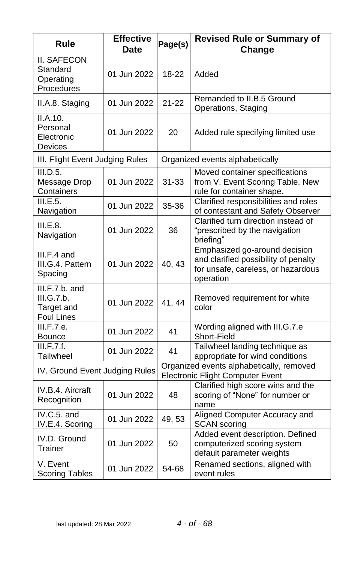| Rule                                                       | <b>Effective</b><br>Date | Page(s)   | <b>Revised Rule or Summary of</b><br>Change                                                                              |
|------------------------------------------------------------|--------------------------|-----------|--------------------------------------------------------------------------------------------------------------------------|
| <b>II. SAFECON</b><br>Standard<br>Operating<br>Procedures  | 01 Jun 2022              | 18-22     | Added                                                                                                                    |
| II.A.8. Staging                                            | 01 Jun 2022              | $21 - 22$ | Remanded to II.B.5 Ground<br>Operations, Staging                                                                         |
| II.A.10.<br>Personal<br>Electronic<br>Devices              | 01 Jun 2022              | 20        | Added rule specifying limited use                                                                                        |
| III. Flight Event Judging Rules                            |                          |           | Organized events alphabetically                                                                                          |
| III.D.5.<br>Message Drop<br>Containers                     | 01 Jun 2022              | $31 - 33$ | Moved container specifications<br>from V. Event Scoring Table. New<br>rule for container shape.                          |
| III.E.5.<br>Navigation                                     | 01 Jun 2022              | 35-36     | Clarified responsibilities and roles<br>of contestant and Safety Observer                                                |
| III.E.8.<br>Navigation                                     | 01 Jun 2022              | 36        | Clarified turn direction instead of<br>"prescribed by the navigation<br>briefing"                                        |
| III.F.4 and<br>III.G.4. Pattern<br>Spacing                 | 01 Jun 2022              | 40, 43    | Emphasized go-around decision<br>and clarified possibility of penalty<br>for unsafe, careless, or hazardous<br>operation |
| $III.F.7.b.$ and<br>III.G.7.b.<br>Target and<br>Foul Lines | 01 Jun 2022              | 41, 44    | Removed requirement for white<br>color                                                                                   |
| III.F.7.e.<br>Bounce                                       | 01 Jun 2022              | 41        | Wording aligned with III.G.7.e<br>Short-Field                                                                            |
| III.F.7.f.<br>Tailwheel                                    | 01 Jun 2022              | 41        | Tailwheel landing technique as<br>appropriate for wind conditions                                                        |
| IV. Ground Event Judging Rules                             |                          |           | Organized events alphabetically, removed<br><b>Electronic Flight Computer Event</b>                                      |
| IV.B.4. Aircraft<br>Recognition                            | 01 Jun 2022              | 48        | Clarified high score wins and the<br>scoring of "None" for number or<br>name                                             |
| IV.C.5. and<br>IV.E.4. Scoring                             | 01 Jun 2022              | 49, 53    | Aligned Computer Accuracy and<br><b>SCAN</b> scoring                                                                     |
| IV.D. Ground<br>Trainer                                    | 01 Jun 2022              | 50        | Added event description. Defined<br>computerized scoring system<br>default parameter weights                             |
| V. Event<br><b>Scoring Tables</b>                          | 01 Jun 2022              | 54-68     | Renamed sections, aligned with<br>event rules                                                                            |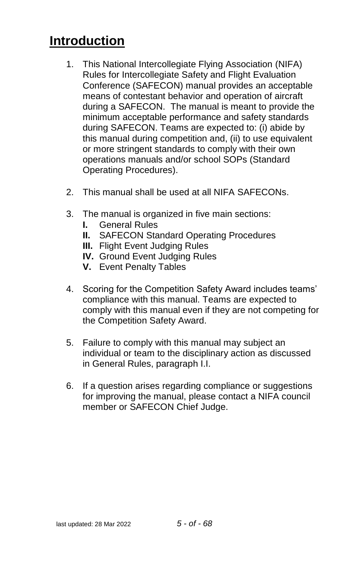# <span id="page-4-0"></span>**Introduction**

- 1. This National Intercollegiate Flying Association (NIFA) Rules for Intercollegiate Safety and Flight Evaluation Conference (SAFECON) manual provides an acceptable means of contestant behavior and operation of aircraft during a SAFECON. The manual is meant to provide the minimum acceptable performance and safety standards during SAFECON. Teams are expected to: (i) abide by this manual during competition and, (ii) to use equivalent or more stringent standards to comply with their own operations manuals and/or school SOPs (Standard Operating Procedures).
- 2. This manual shall be used at all NIFA SAFECONs.
- 3. The manual is organized in five main sections:
	- **I.** General Rules
	- **II.** SAFECON Standard Operating Procedures
	- **III.** Flight Event Judging Rules
	- **IV.** Ground Event Judging Rules
	- **V.** Event Penalty Tables
- 4. Scoring for the Competition Safety Award includes teams' compliance with this manual. Teams are expected to comply with this manual even if they are not competing for the Competition Safety Award.
- 5. Failure to comply with this manual may subject an individual or team to the disciplinary action as discussed in General Rules, paragraph I.I.
- 6. If a question arises regarding compliance or suggestions for improving the manual, please contact a NIFA council member or SAFECON Chief Judge.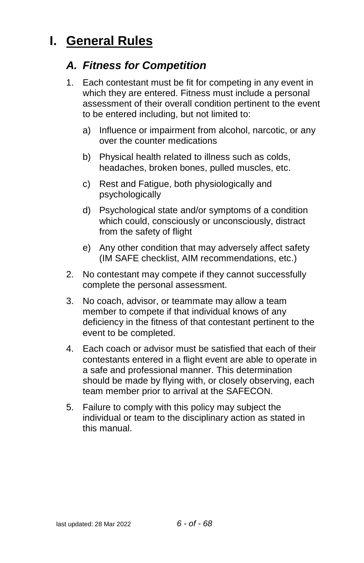# <span id="page-5-1"></span><span id="page-5-0"></span>**I. General Rules**

### *A. Fitness for Competition*

- 1. Each contestant must be fit for competing in any event in which they are entered. Fitness must include a personal assessment of their overall condition pertinent to the event to be entered including, but not limited to:
	- a) Influence or impairment from alcohol, narcotic, or any over the counter medications
	- b) Physical health related to illness such as colds, headaches, broken bones, pulled muscles, etc.
	- c) Rest and Fatigue, both physiologically and psychologically
	- d) Psychological state and/or symptoms of a condition which could, consciously or unconsciously, distract from the safety of flight
	- e) Any other condition that may adversely affect safety (IM SAFE checklist, AIM recommendations, etc.)
- 2. No contestant may compete if they cannot successfully complete the personal assessment.
- 3. No coach, advisor, or teammate may allow a team member to compete if that individual knows of any deficiency in the fitness of that contestant pertinent to the event to be completed.
- 4. Each coach or advisor must be satisfied that each of their contestants entered in a flight event are able to operate in a safe and professional manner. This determination should be made by flying with, or closely observing, each team member prior to arrival at the SAFECON.
- 5. Failure to comply with this policy may subject the individual or team to the disciplinary action as stated in this manual.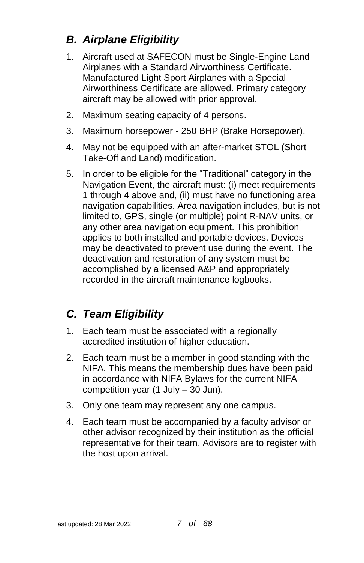# <span id="page-6-0"></span>*B. Airplane Eligibility*

- 1. Aircraft used at SAFECON must be Single-Engine Land Airplanes with a Standard Airworthiness Certificate. Manufactured Light Sport Airplanes with a Special Airworthiness Certificate are allowed. Primary category aircraft may be allowed with prior approval.
- 2. Maximum seating capacity of 4 persons.
- 3. Maximum horsepower 250 BHP (Brake Horsepower).
- 4. May not be equipped with an after-market STOL (Short Take-Off and Land) modification.
- 5. In order to be eligible for the "Traditional" category in the Navigation Event, the aircraft must: (i) meet requirements 1 through 4 above and, (ii) must have no functioning area navigation capabilities. Area navigation includes, but is not limited to, GPS, single (or multiple) point R-NAV units, or any other area navigation equipment. This prohibition applies to both installed and portable devices. Devices may be deactivated to prevent use during the event. The deactivation and restoration of any system must be accomplished by a licensed A&P and appropriately recorded in the aircraft maintenance logbooks.

# <span id="page-6-1"></span>*C. Team Eligibility*

- 1. Each team must be associated with a regionally accredited institution of higher education.
- 2. Each team must be a member in good standing with the NIFA. This means the membership dues have been paid in accordance with NIFA Bylaws for the current NIFA competition year (1 July – 30 Jun).
- 3. Only one team may represent any one campus.
- 4. Each team must be accompanied by a faculty advisor or other advisor recognized by their institution as the official representative for their team. Advisors are to register with the host upon arrival.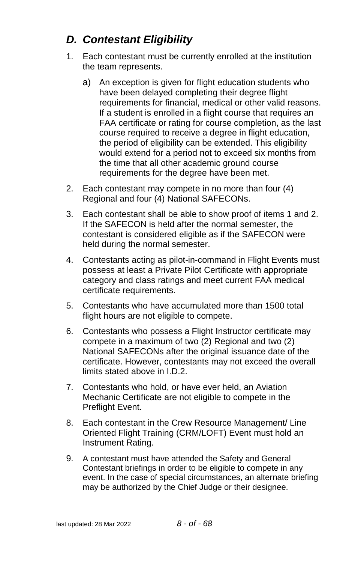# <span id="page-7-0"></span>*D. Contestant Eligibility*

- <span id="page-7-1"></span>1. Each contestant must be currently enrolled at the institution the team represents.
	- a) An exception is given for flight education students who have been delayed completing their degree flight requirements for financial, medical or other valid reasons. If a student is enrolled in a flight course that requires an FAA certificate or rating for course completion, as the last course required to receive a degree in flight education, the period of eligibility can be extended. This eligibility would extend for a period not to exceed six months from the time that all other academic ground course requirements for the degree have been met.
- 2. Each contestant may compete in no more than four (4) Regional and four (4) National SAFECONs.
- 3. Each contestant shall be able to show proof of items 1 and 2. If the SAFECON is held after the normal semester, the contestant is considered eligible as if the SAFECON were held during the normal semester.
- 4. Contestants acting as pilot-in-command in Flight Events must possess at least a Private Pilot Certificate with appropriate category and class ratings and meet current FAA medical certificate requirements.
- 5. Contestants who have accumulated more than 1500 total flight hours are not eligible to compete.
- 6. Contestants who possess a Flight Instructor certificate may compete in a maximum of two (2) Regional and two (2) National SAFECONs after the original issuance date of the certificate. However, contestants may not exceed the overall limits stated above in I.D.2.
- 7. Contestants who hold, or have ever held, an Aviation Mechanic Certificate are not eligible to compete in the Preflight Event.
- 8. Each contestant in the Crew Resource Management/ Line Oriented Flight Training (CRM/LOFT) Event must hold an Instrument Rating.
- 9. A contestant must have attended the Safety and General Contestant briefings in order to be eligible to compete in any event. In the case of special circumstances, an alternate briefing may be authorized by the Chief Judge or their designee.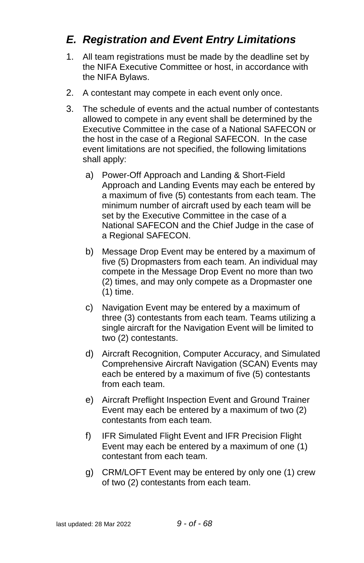### <span id="page-8-0"></span>*E. Registration and Event Entry Limitations*

- 1. All team registrations must be made by the deadline set by the NIFA Executive Committee or host, in accordance with the NIFA Bylaws.
- 2. A contestant may compete in each event only once.
- 3. The schedule of events and the actual number of contestants allowed to compete in any event shall be determined by the Executive Committee in the case of a National SAFECON or the host in the case of a Regional SAFECON. In the case event limitations are not specified, the following limitations shall apply:
	- a) Power-Off Approach and Landing & Short-Field Approach and Landing Events may each be entered by a maximum of five (5) contestants from each team. The minimum number of aircraft used by each team will be set by the Executive Committee in the case of a National SAFECON and the Chief Judge in the case of a Regional SAFECON.
	- b) Message Drop Event may be entered by a maximum of five (5) Dropmasters from each team. An individual may compete in the Message Drop Event no more than two (2) times, and may only compete as a Dropmaster one (1) time.
	- c) Navigation Event may be entered by a maximum of three (3) contestants from each team. Teams utilizing a single aircraft for the Navigation Event will be limited to two (2) contestants.
	- d) Aircraft Recognition, Computer Accuracy, and Simulated Comprehensive Aircraft Navigation (SCAN) Events may each be entered by a maximum of five (5) contestants from each team.
	- e) Aircraft Preflight Inspection Event and Ground Trainer Event may each be entered by a maximum of two (2) contestants from each team.
	- f) IFR Simulated Flight Event and IFR Precision Flight Event may each be entered by a maximum of one (1) contestant from each team.
	- g) CRM/LOFT Event may be entered by only one (1) crew of two (2) contestants from each team.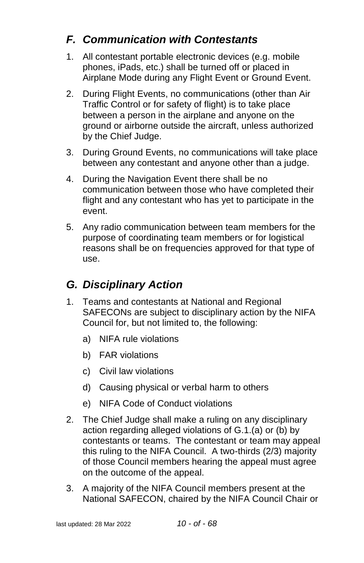# <span id="page-9-0"></span>*F. Communication with Contestants*

- 1. All contestant portable electronic devices (e.g. mobile phones, iPads, etc.) shall be turned off or placed in Airplane Mode during any Flight Event or Ground Event.
- 2. During Flight Events, no communications (other than Air Traffic Control or for safety of flight) is to take place between a person in the airplane and anyone on the ground or airborne outside the aircraft, unless authorized by the Chief Judge.
- 3. During Ground Events, no communications will take place between any contestant and anyone other than a judge.
- 4. During the Navigation Event there shall be no communication between those who have completed their flight and any contestant who has yet to participate in the event.
- 5. Any radio communication between team members for the purpose of coordinating team members or for logistical reasons shall be on frequencies approved for that type of use.

# <span id="page-9-1"></span>*G. Disciplinary Action*

- 1. Teams and contestants at National and Regional SAFECONs are subject to disciplinary action by the NIFA Council for, but not limited to, the following:
	- a) NIFA rule violations
	- b) FAR violations
	- c) Civil law violations
	- d) Causing physical or verbal harm to others
	- e) NIFA Code of Conduct violations
- 2. The Chief Judge shall make a ruling on any disciplinary action regarding alleged violations of G.1.(a) or (b) by contestants or teams. The contestant or team may appeal this ruling to the NIFA Council. A two-thirds (2/3) majority of those Council members hearing the appeal must agree on the outcome of the appeal.
- 3. A majority of the NIFA Council members present at the National SAFECON, chaired by the NIFA Council Chair or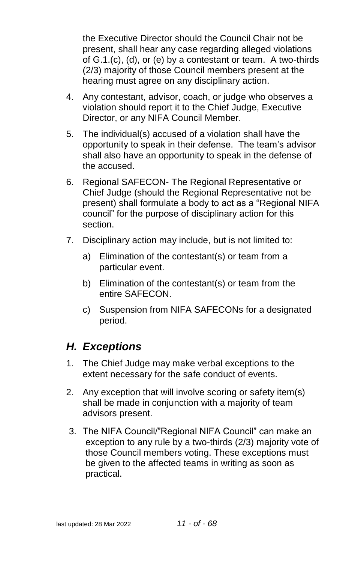the Executive Director should the Council Chair not be present, shall hear any case regarding alleged violations of G.1.(c), (d), or (e) by a contestant or team. A two-thirds (2/3) majority of those Council members present at the hearing must agree on any disciplinary action.

- 4. Any contestant, advisor, coach, or judge who observes a violation should report it to the Chief Judge, Executive Director, or any NIFA Council Member.
- 5. The individual(s) accused of a violation shall have the opportunity to speak in their defense. The team's advisor shall also have an opportunity to speak in the defense of the accused.
- 6. Regional SAFECON- The Regional Representative or Chief Judge (should the Regional Representative not be present) shall formulate a body to act as a "Regional NIFA council" for the purpose of disciplinary action for this section.
- 7. Disciplinary action may include, but is not limited to:
	- a) Elimination of the contestant(s) or team from a particular event.
	- b) Elimination of the contestant(s) or team from the entire SAFECON.
	- c) Suspension from NIFA SAFECONs for a designated period.

### <span id="page-10-0"></span>*H. Exceptions*

- 1. The Chief Judge may make verbal exceptions to the extent necessary for the safe conduct of events.
- 2. Any exception that will involve scoring or safety item(s) shall be made in conjunction with a majority of team advisors present.
- 3. The NIFA Council/"Regional NIFA Council" can make an exception to any rule by a two-thirds (2/3) majority vote of those Council members voting. These exceptions must be given to the affected teams in writing as soon as practical.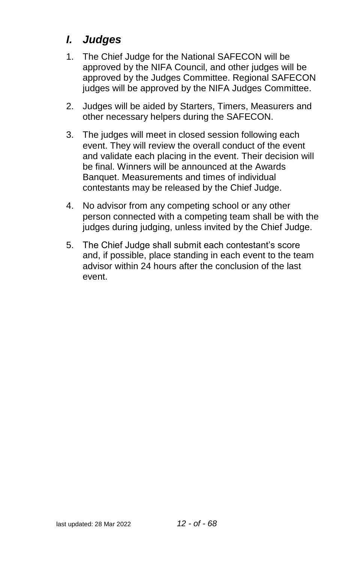# <span id="page-11-0"></span>*I. Judges*

- 1. The Chief Judge for the National SAFECON will be approved by the NIFA Council, and other judges will be approved by the Judges Committee. Regional SAFECON judges will be approved by the NIFA Judges Committee.
- 2. Judges will be aided by Starters, Timers, Measurers and other necessary helpers during the SAFECON.
- 3. The judges will meet in closed session following each event. They will review the overall conduct of the event and validate each placing in the event. Their decision will be final. Winners will be announced at the Awards Banquet. Measurements and times of individual contestants may be released by the Chief Judge.
- 4. No advisor from any competing school or any other person connected with a competing team shall be with the judges during judging, unless invited by the Chief Judge.
- 5. The Chief Judge shall submit each contestant's score and, if possible, place standing in each event to the team advisor within 24 hours after the conclusion of the last event.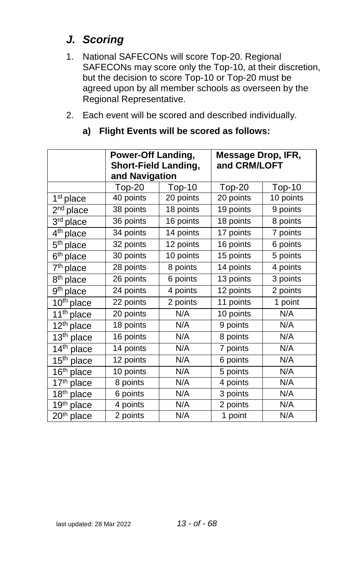# <span id="page-12-0"></span>*J. Scoring*

- 1. National SAFECONs will score Top-20. Regional SAFECONs may score only the Top-10, at their discretion, but the decision to score Top-10 or Top-20 must be agreed upon by all member schools as overseen by the Regional Representative.
- 2. Each event will be scored and described individually.

|                                     | Power-Off Landing,          |               | Message Drop, IFR, |           |
|-------------------------------------|-----------------------------|---------------|--------------------|-----------|
|                                     | <b>Short-Field Landing,</b> |               | and CRM/LOFT       |           |
|                                     | and Navigation              |               |                    |           |
|                                     | $Top-20$                    | <b>Top-10</b> | <b>Top-20</b>      | $Top-10$  |
| 1 <sup>st</sup> place               | 40 points                   | 20 points     | 20 points          | 10 points |
| $2nd$ place                         | 38 points                   | 18 points     | 19 points          | 9 points  |
| 3rd place                           | 36 points                   | 16 points     | 18 points          | 8 points  |
| 4 <sup>th</sup> place               | 34 points                   | 14 points     | 17 points          | 7 points  |
| 5 <sup>th</sup> place               | 32 points                   | 12 points     | 16 points          | 6 points  |
| $\overline{6^{th}}$ place           | 30 points                   | 10 points     | 15 points          | 5 points  |
| 7 <sup>th</sup> place               | 28 points                   | 8 points      | 14 points          | 4 points  |
| 8 <sup>th</sup> place               | 26 points                   | 6 points      | 13 points          | 3 points  |
| 9 <sup>th</sup> place               | 24 points                   | 4 points      | 12 points          | 2 points  |
| 10 <sup>th</sup> place              | 22 points                   | 2 points      | 11 points          | 1 point   |
| 11 <sup>th</sup> place              | 20 points                   | N/A           | 10 points          | N/A       |
| 12 <sup>th</sup> place              | 18 points                   | N/A           | 9 points           | N/A       |
| $\overline{1}3^{th}$ place          | 16 points                   | N/A           | 8 points           | N/A       |
| 14 <sup>th</sup> place              | 14 points                   | N/A           | 7 points           | N/A       |
| $15th$ place                        | 12 points                   | N/A           | 6 points           | N/A       |
| 16th place                          | 10 points                   | N/A           | 5 points           | N/A       |
| $\overline{17}$ <sup>th</sup> place | $\overline{8}$ points       | N/A           | 4 points           | N/A       |
| $\overline{18}$ <sup>th</sup> place | 6 points                    | N/A           | 3 points           | N/A       |
| 19th place                          | 4 points                    | N/A           | 2 points           | N/A       |
| $20th$ place                        | 2 points                    | N/A           | 1 point            | N/A       |

#### **a) Flight Events will be scored as follows:**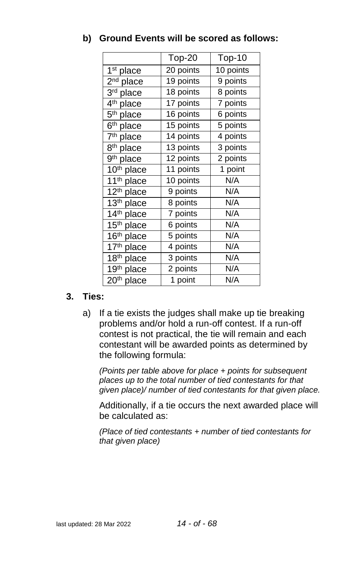|                                    | $Top-20$  | Top-10                |
|------------------------------------|-----------|-----------------------|
| 1 <sup>st</sup> place              | 20 points | 10 points             |
| $2nd$ place                        | 19 points | 9 points              |
| $\overline{3}$ <sup>rd</sup> place | 18 points | 8 points              |
| 4 <sup>th</sup> place              | 17 points | 7 points              |
| $\overline{5}$ <sup>th</sup> place | 16 points | $\overline{6}$ points |
| $\overline{6}$ <sup>th</sup> place | 15 points | 5 points              |
| 7 <sup>th</sup> place              | 14 points | 4 points              |
| 8 <sup>th</sup> place              | 13 points | 3 points              |
| 9 <sup>th</sup> place              | 12 points | 2 points              |
| 10th place                         | 11 points | 1 point               |
| 11 <sup>th</sup> place             | 10 points | N/A                   |
| 12 <sup>th</sup> place             | 9 points  | N/A                   |
| 13th place                         | 8 points  | N/A                   |
| 14th place                         | 7 points  | N/A                   |
| 15 <sup>th</sup> place             | 6 points  | N/A                   |
| 16 <sup>th</sup> place             | 5 points  | N/A                   |
| 17th place                         | 4 points  | N/A                   |
| 18th place                         | 3 points  | N/A                   |
| 19th place                         | 2 points  | N/A                   |
| 20 <sup>th</sup> place             | 1 point   | N/A                   |

#### **b) Ground Events will be scored as follows:**

#### **3. Ties:**

a) If a tie exists the judges shall make up tie breaking problems and/or hold a run-off contest. If a run-off contest is not practical, the tie will remain and each contestant will be awarded points as determined by the following formula:

*(Points per table above for place + points for subsequent places up to the total number of tied contestants for that given place)/ number of tied contestants for that given place.*

Additionally, if a tie occurs the next awarded place will be calculated as:

*(Place of tied contestants + number of tied contestants for that given place)*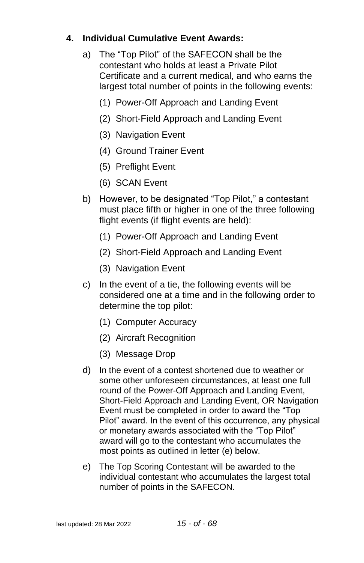#### **4. Individual Cumulative Event Awards:**

- a) The "Top Pilot" of the SAFECON shall be the contestant who holds at least a Private Pilot Certificate and a current medical, and who earns the largest total number of points in the following events:
	- (1) Power-Off Approach and Landing Event
	- (2) Short-Field Approach and Landing Event
	- (3) Navigation Event
	- (4) Ground Trainer Event
	- (5) Preflight Event
	- (6) SCAN Event
- b) However, to be designated "Top Pilot," a contestant must place fifth or higher in one of the three following flight events (if flight events are held):
	- (1) Power-Off Approach and Landing Event
	- (2) Short-Field Approach and Landing Event
	- (3) Navigation Event
- c) In the event of a tie, the following events will be considered one at a time and in the following order to determine the top pilot:
	- (1) Computer Accuracy
	- (2) Aircraft Recognition
	- (3) Message Drop
- d) In the event of a contest shortened due to weather or some other unforeseen circumstances, at least one full round of the Power-Off Approach and Landing Event, Short-Field Approach and Landing Event, OR Navigation Event must be completed in order to award the "Top Pilot" award. In the event of this occurrence, any physical or monetary awards associated with the "Top Pilot" award will go to the contestant who accumulates the most points as outlined in letter (e) below.
- e) The Top Scoring Contestant will be awarded to the individual contestant who accumulates the largest total number of points in the SAFECON.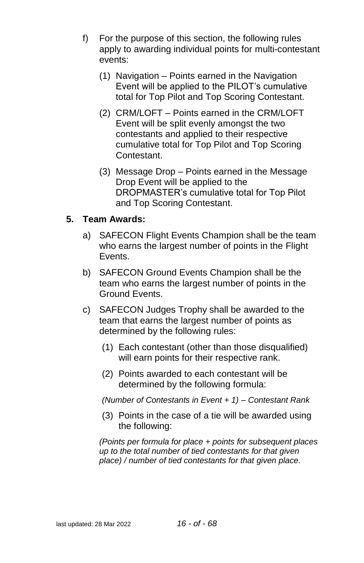- f) For the purpose of this section, the following rules apply to awarding individual points for multi-contestant events:
	- (1) Navigation Points earned in the Navigation Event will be applied to the PILOT's cumulative total for Top Pilot and Top Scoring Contestant.
	- (2) CRM/LOFT Points earned in the CRM/LOFT Event will be split evenly amongst the two contestants and applied to their respective cumulative total for Top Pilot and Top Scoring Contestant.
	- (3) Message Drop Points earned in the Message Drop Event will be applied to the DROPMASTER's cumulative total for Top Pilot and Top Scoring Contestant.

#### **5. Team Awards:**

- a) SAFECON Flight Events Champion shall be the team who earns the largest number of points in the Flight **Events**
- b) SAFECON Ground Events Champion shall be the team who earns the largest number of points in the Ground Events.
- c) SAFECON Judges Trophy shall be awarded to the team that earns the largest number of points as determined by the following rules:
	- (1) Each contestant (other than those disqualified) will earn points for their respective rank.
	- (2) Points awarded to each contestant will be determined by the following formula:

*(Number of Contestants in Event + 1) – Contestant Rank*

(3) Points in the case of a tie will be awarded using the following:

*(Points per formula for place + points for subsequent places up to the total number of tied contestants for that given place) / number of tied contestants for that given place.*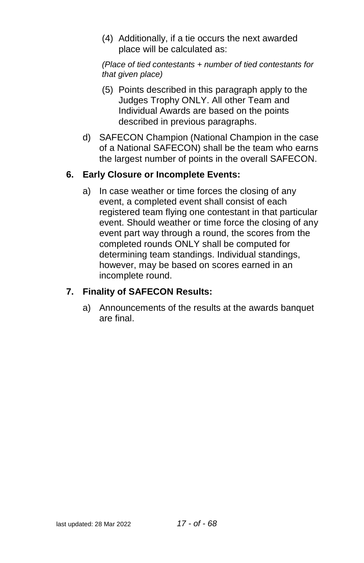(4) Additionally, if a tie occurs the next awarded place will be calculated as:

*(Place of tied contestants + number of tied contestants for that given place)*

- (5) Points described in this paragraph apply to the Judges Trophy ONLY. All other Team and Individual Awards are based on the points described in previous paragraphs.
- d) SAFECON Champion (National Champion in the case of a National SAFECON) shall be the team who earns the largest number of points in the overall SAFECON.

#### **6. Early Closure or Incomplete Events:**

a) In case weather or time forces the closing of any event, a completed event shall consist of each registered team flying one contestant in that particular event. Should weather or time force the closing of any event part way through a round, the scores from the completed rounds ONLY shall be computed for determining team standings. Individual standings, however, may be based on scores earned in an incomplete round.

#### **7. Finality of SAFECON Results:**

a) Announcements of the results at the awards banquet are final.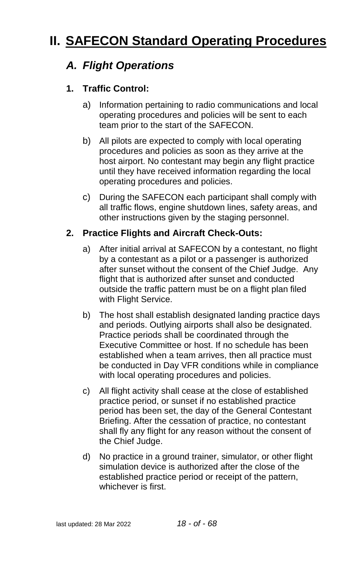# <span id="page-17-1"></span><span id="page-17-0"></span>**II. SAFECON Standard Operating Procedures**

# *A. Flight Operations*

#### **1. Traffic Control:**

- a) Information pertaining to radio communications and local operating procedures and policies will be sent to each team prior to the start of the SAFECON.
- b) All pilots are expected to comply with local operating procedures and policies as soon as they arrive at the host airport. No contestant may begin any flight practice until they have received information regarding the local operating procedures and policies.
- c) During the SAFECON each participant shall comply with all traffic flows, engine shutdown lines, safety areas, and other instructions given by the staging personnel.

#### **2. Practice Flights and Aircraft Check-Outs:**

- a) After initial arrival at SAFECON by a contestant, no flight by a contestant as a pilot or a passenger is authorized after sunset without the consent of the Chief Judge. Any flight that is authorized after sunset and conducted outside the traffic pattern must be on a flight plan filed with Flight Service.
- b) The host shall establish designated landing practice days and periods. Outlying airports shall also be designated. Practice periods shall be coordinated through the Executive Committee or host. If no schedule has been established when a team arrives, then all practice must be conducted in Day VFR conditions while in compliance with local operating procedures and policies.
- c) All flight activity shall cease at the close of established practice period, or sunset if no established practice period has been set, the day of the General Contestant Briefing. After the cessation of practice, no contestant shall fly any flight for any reason without the consent of the Chief Judge.
- d) No practice in a ground trainer, simulator, or other flight simulation device is authorized after the close of the established practice period or receipt of the pattern, whichever is first.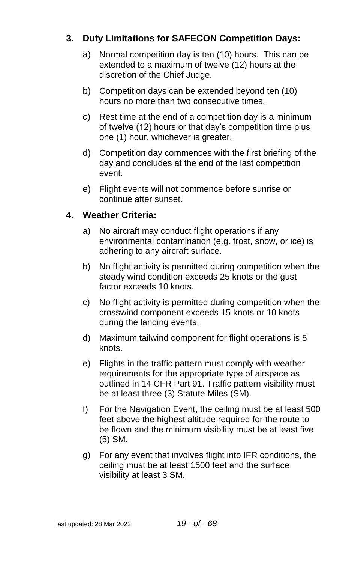#### **3. Duty Limitations for SAFECON Competition Days:**

- a) Normal competition day is ten (10) hours. This can be extended to a maximum of twelve (12) hours at the discretion of the Chief Judge.
- b) Competition days can be extended beyond ten (10) hours no more than two consecutive times.
- c) Rest time at the end of a competition day is a minimum of twelve (12) hours or that day's competition time plus one (1) hour, whichever is greater.
- d) Competition day commences with the first briefing of the day and concludes at the end of the last competition event.
- e) Flight events will not commence before sunrise or continue after sunset.

#### **4. Weather Criteria:**

- a) No aircraft may conduct flight operations if any environmental contamination (e.g. frost, snow, or ice) is adhering to any aircraft surface.
- b) No flight activity is permitted during competition when the steady wind condition exceeds 25 knots or the gust factor exceeds 10 knots.
- c) No flight activity is permitted during competition when the crosswind component exceeds 15 knots or 10 knots during the landing events.
- d) Maximum tailwind component for flight operations is 5 knots.
- e) Flights in the traffic pattern must comply with weather requirements for the appropriate type of airspace as outlined in 14 CFR Part 91. Traffic pattern visibility must be at least three (3) Statute Miles (SM).
- f) For the Navigation Event, the ceiling must be at least 500 feet above the highest altitude required for the route to be flown and the minimum visibility must be at least five (5) SM.
- g) For any event that involves flight into IFR conditions, the ceiling must be at least 1500 feet and the surface visibility at least 3 SM.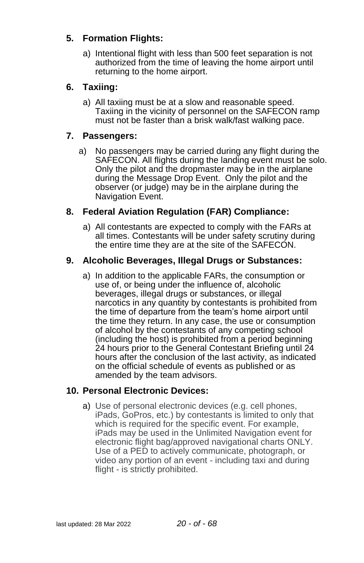#### **5. Formation Flights:**

a) Intentional flight with less than 500 feet separation is not authorized from the time of leaving the home airport until returning to the home airport.

#### **6. Taxiing:**

a) All taxiing must be at a slow and reasonable speed. Taxiing in the vicinity of personnel on the SAFECON ramp must not be faster than a brisk walk/fast walking pace.

#### **7. Passengers:**

a) No passengers may be carried during any flight during the SAFECON. All flights during the landing event must be solo. Only the pilot and the dropmaster may be in the airplane during the Message Drop Event. Only the pilot and the observer (or judge) may be in the airplane during the Navigation Event.

#### **8. Federal Aviation Regulation (FAR) Compliance:**

a) All contestants are expected to comply with the FARs at all times. Contestants will be under safety scrutiny during the entire time they are at the site of the SAFECON.

#### **9. Alcoholic Beverages, Illegal Drugs or Substances:**

a) In addition to the applicable FARs, the consumption or use of, or being under the influence of, alcoholic beverages, illegal drugs or substances, or illegal narcotics in any quantity by contestants is prohibited from the time of departure from the team's home airport until the time they return. In any case, the use or consumption of alcohol by the contestants of any competing school (including the host) is prohibited from a period beginning 24 hours prior to the General Contestant Briefing until 24 hours after the conclusion of the last activity, as indicated on the official schedule of events as published or as amended by the team advisors.

#### **10. Personal Electronic Devices:**

a) Use of personal electronic devices (e.g. cell phones, iPads, GoPros, etc.) by contestants is limited to only that which is required for the specific event. For example, iPads may be used in the Unlimited Navigation event for electronic flight bag/approved navigational charts ONLY. Use of a PED to actively communicate, photograph, or video any portion of an event - including taxi and during flight - is strictly prohibited.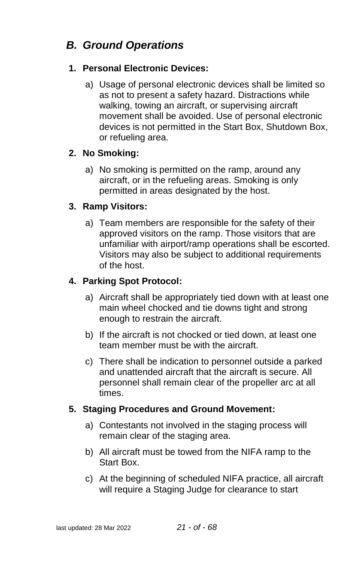# <span id="page-20-0"></span>*B. Ground Operations*

#### **1. Personal Electronic Devices:**

a) Usage of personal electronic devices shall be limited so as not to present a safety hazard. Distractions while walking, towing an aircraft, or supervising aircraft movement shall be avoided. Use of personal electronic devices is not permitted in the Start Box, Shutdown Box, or refueling area.

#### **2. No Smoking:**

a) No smoking is permitted on the ramp, around any aircraft, or in the refueling areas. Smoking is only permitted in areas designated by the host.

#### **3. Ramp Visitors:**

a) Team members are responsible for the safety of their approved visitors on the ramp. Those visitors that are unfamiliar with airport/ramp operations shall be escorted. Visitors may also be subject to additional requirements of the host.

#### **4. Parking Spot Protocol:**

- a) Aircraft shall be appropriately tied down with at least one main wheel chocked and tie downs tight and strong enough to restrain the aircraft.
- b) If the aircraft is not chocked or tied down, at least one team member must be with the aircraft.
- c) There shall be indication to personnel outside a parked and unattended aircraft that the aircraft is secure. All personnel shall remain clear of the propeller arc at all times.

#### **5. Staging Procedures and Ground Movement:**

- a) Contestants not involved in the staging process will remain clear of the staging area.
- b) All aircraft must be towed from the NIFA ramp to the Start Box.
- c) At the beginning of scheduled NIFA practice, all aircraft will require a Staging Judge for clearance to start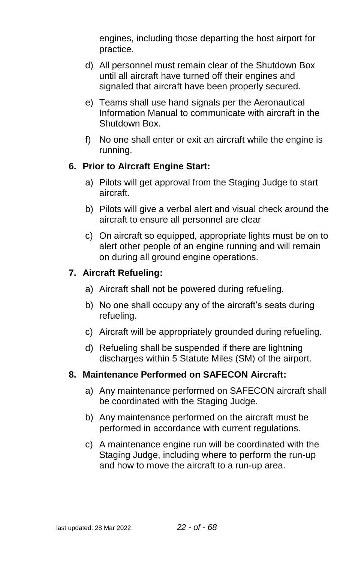engines, including those departing the host airport for practice.

- d) All personnel must remain clear of the Shutdown Box until all aircraft have turned off their engines and signaled that aircraft have been properly secured.
- e) Teams shall use hand signals per the Aeronautical Information Manual to communicate with aircraft in the Shutdown Box.
- f) No one shall enter or exit an aircraft while the engine is running.

#### **6. Prior to Aircraft Engine Start:**

- a) Pilots will get approval from the Staging Judge to start aircraft.
- b) Pilots will give a verbal alert and visual check around the aircraft to ensure all personnel are clear
- c) On aircraft so equipped, appropriate lights must be on to alert other people of an engine running and will remain on during all ground engine operations.

#### **7. Aircraft Refueling:**

- a) Aircraft shall not be powered during refueling.
- b) No one shall occupy any of the aircraft's seats during refueling.
- c) Aircraft will be appropriately grounded during refueling.
- d) Refueling shall be suspended if there are lightning discharges within 5 Statute Miles (SM) of the airport.

#### **8. Maintenance Performed on SAFECON Aircraft:**

- a) Any maintenance performed on SAFECON aircraft shall be coordinated with the Staging Judge.
- b) Any maintenance performed on the aircraft must be performed in accordance with current regulations.
- c) A maintenance engine run will be coordinated with the Staging Judge, including where to perform the run-up and how to move the aircraft to a run-up area.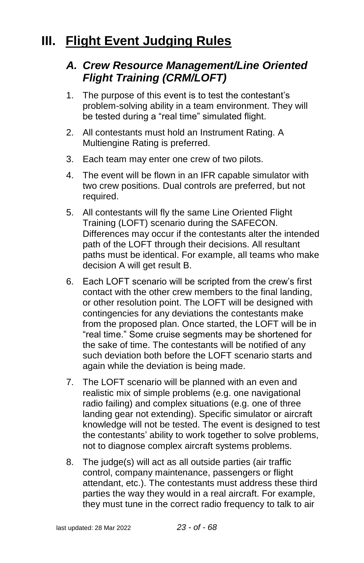# <span id="page-22-1"></span><span id="page-22-0"></span>**III. Flight Event Judging Rules**

### *A. Crew Resource Management/Line Oriented Flight Training (CRM/LOFT)*

- 1. The purpose of this event is to test the contestant's problem-solving ability in a team environment. They will be tested during a "real time" simulated flight.
- 2. All contestants must hold an Instrument Rating. A Multiengine Rating is preferred.
- 3. Each team may enter one crew of two pilots.
- 4. The event will be flown in an IFR capable simulator with two crew positions. Dual controls are preferred, but not required.
- 5. All contestants will fly the same Line Oriented Flight Training (LOFT) scenario during the SAFECON. Differences may occur if the contestants alter the intended path of the LOFT through their decisions. All resultant paths must be identical. For example, all teams who make decision A will get result B.
- 6. Each LOFT scenario will be scripted from the crew's first contact with the other crew members to the final landing, or other resolution point. The LOFT will be designed with contingencies for any deviations the contestants make from the proposed plan. Once started, the LOFT will be in "real time." Some cruise segments may be shortened for the sake of time. The contestants will be notified of any such deviation both before the LOFT scenario starts and again while the deviation is being made.
- 7. The LOFT scenario will be planned with an even and realistic mix of simple problems (e.g. one navigational radio failing) and complex situations (e.g. one of three landing gear not extending). Specific simulator or aircraft knowledge will not be tested. The event is designed to test the contestants' ability to work together to solve problems, not to diagnose complex aircraft systems problems.
- 8. The judge(s) will act as all outside parties (air traffic control, company maintenance, passengers or flight attendant, etc.). The contestants must address these third parties the way they would in a real aircraft. For example, they must tune in the correct radio frequency to talk to air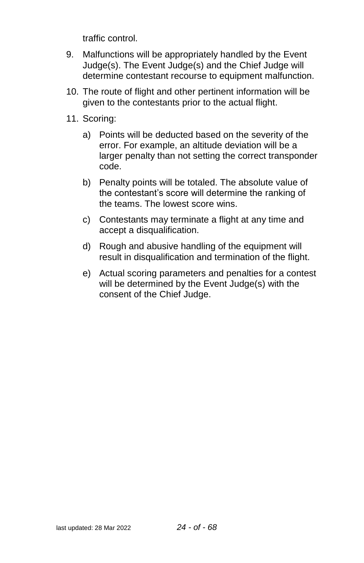traffic control.

- 9. Malfunctions will be appropriately handled by the Event Judge(s). The Event Judge(s) and the Chief Judge will determine contestant recourse to equipment malfunction.
- 10. The route of flight and other pertinent information will be given to the contestants prior to the actual flight.
- 11. Scoring:
	- a) Points will be deducted based on the severity of the error. For example, an altitude deviation will be a larger penalty than not setting the correct transponder code.
	- b) Penalty points will be totaled. The absolute value of the contestant's score will determine the ranking of the teams. The lowest score wins.
	- c) Contestants may terminate a flight at any time and accept a disqualification.
	- d) Rough and abusive handling of the equipment will result in disqualification and termination of the flight.
	- e) Actual scoring parameters and penalties for a contest will be determined by the Event Judge(s) with the consent of the Chief Judge.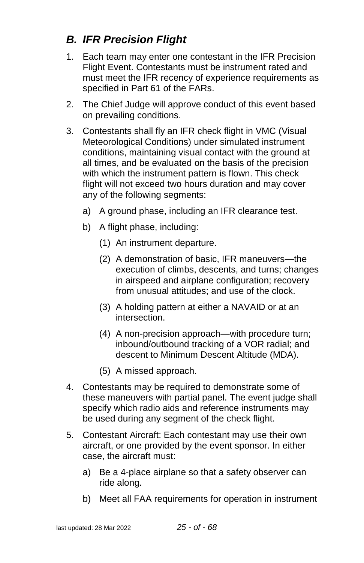# <span id="page-24-0"></span>*B. IFR Precision Flight*

- 1. Each team may enter one contestant in the IFR Precision Flight Event. Contestants must be instrument rated and must meet the IFR recency of experience requirements as specified in Part 61 of the FARs.
- 2. The Chief Judge will approve conduct of this event based on prevailing conditions.
- 3. Contestants shall fly an IFR check flight in VMC (Visual Meteorological Conditions) under simulated instrument conditions, maintaining visual contact with the ground at all times, and be evaluated on the basis of the precision with which the instrument pattern is flown. This check flight will not exceed two hours duration and may cover any of the following segments:
	- a) A ground phase, including an IFR clearance test.
	- b) A flight phase, including:
		- (1) An instrument departure.
		- (2) A demonstration of basic, IFR maneuvers—the execution of climbs, descents, and turns; changes in airspeed and airplane configuration; recovery from unusual attitudes; and use of the clock.
		- (3) A holding pattern at either a NAVAID or at an intersection.
		- (4) A non-precision approach—with procedure turn; inbound/outbound tracking of a VOR radial; and descent to Minimum Descent Altitude (MDA).
		- (5) A missed approach.
- 4. Contestants may be required to demonstrate some of these maneuvers with partial panel. The event judge shall specify which radio aids and reference instruments may be used during any segment of the check flight.
- 5. Contestant Aircraft: Each contestant may use their own aircraft, or one provided by the event sponsor. In either case, the aircraft must:
	- a) Be a 4-place airplane so that a safety observer can ride along.
	- b) Meet all FAA requirements for operation in instrument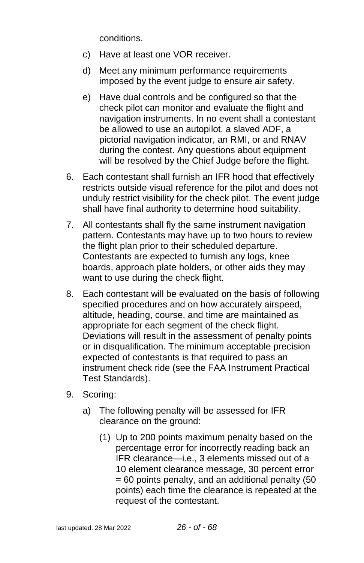conditions.

- c) Have at least one VOR receiver.
- d) Meet any minimum performance requirements imposed by the event judge to ensure air safety.
- e) Have dual controls and be configured so that the check pilot can monitor and evaluate the flight and navigation instruments. In no event shall a contestant be allowed to use an autopilot, a slaved ADF, a pictorial navigation indicator, an RMI, or and RNAV during the contest. Any questions about equipment will be resolved by the Chief Judge before the flight.
- 6. Each contestant shall furnish an IFR hood that effectively restricts outside visual reference for the pilot and does not unduly restrict visibility for the check pilot. The event judge shall have final authority to determine hood suitability.
- 7. All contestants shall fly the same instrument navigation pattern. Contestants may have up to two hours to review the flight plan prior to their scheduled departure. Contestants are expected to furnish any logs, knee boards, approach plate holders, or other aids they may want to use during the check flight.
- 8. Each contestant will be evaluated on the basis of following specified procedures and on how accurately airspeed, altitude, heading, course, and time are maintained as appropriate for each segment of the check flight. Deviations will result in the assessment of penalty points or in disqualification. The minimum acceptable precision expected of contestants is that required to pass an instrument check ride (see the FAA Instrument Practical Test Standards).
- 9. Scoring:
	- a) The following penalty will be assessed for IFR clearance on the ground:
		- (1) Up to 200 points maximum penalty based on the percentage error for incorrectly reading back an IFR clearance—i.e., 3 elements missed out of a 10 element clearance message, 30 percent error = 60 points penalty, and an additional penalty (50 points) each time the clearance is repeated at the request of the contestant.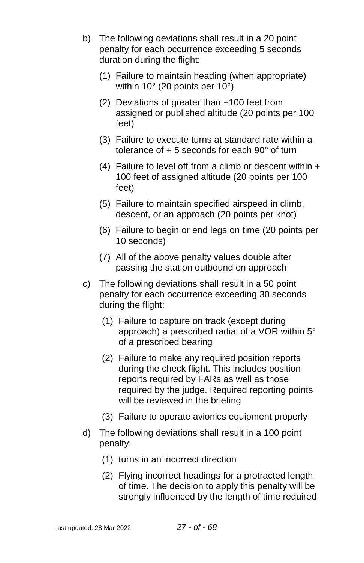- b) The following deviations shall result in a 20 point penalty for each occurrence exceeding 5 seconds duration during the flight:
	- (1) Failure to maintain heading (when appropriate) within 10° (20 points per 10°)
	- (2) Deviations of greater than +100 feet from assigned or published altitude (20 points per 100 feet)
	- (3) Failure to execute turns at standard rate within a tolerance of + 5 seconds for each 90° of turn
	- (4) Failure to level off from a climb or descent within  $+$ 100 feet of assigned altitude (20 points per 100 feet)
	- (5) Failure to maintain specified airspeed in climb, descent, or an approach (20 points per knot)
	- (6) Failure to begin or end legs on time (20 points per 10 seconds)
	- (7) All of the above penalty values double after passing the station outbound on approach
- c) The following deviations shall result in a 50 point penalty for each occurrence exceeding 30 seconds during the flight:
	- (1) Failure to capture on track (except during approach) a prescribed radial of a VOR within 5° of a prescribed bearing
	- (2) Failure to make any required position reports during the check flight. This includes position reports required by FARs as well as those required by the judge. Required reporting points will be reviewed in the briefing
	- (3) Failure to operate avionics equipment properly
- d) The following deviations shall result in a 100 point penalty:
	- (1) turns in an incorrect direction
	- (2) Flying incorrect headings for a protracted length of time. The decision to apply this penalty will be strongly influenced by the length of time required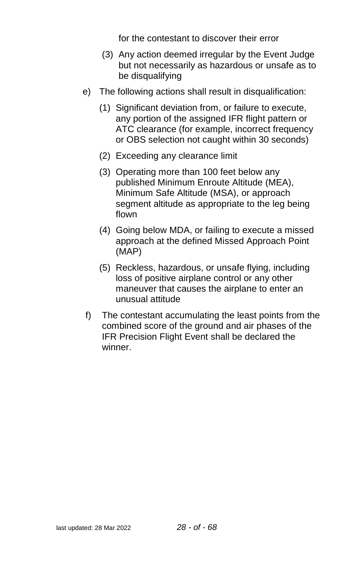for the contestant to discover their error

- (3) Any action deemed irregular by the Event Judge but not necessarily as hazardous or unsafe as to be disqualifying
- e) The following actions shall result in disqualification:
	- (1) Significant deviation from, or failure to execute, any portion of the assigned IFR flight pattern or ATC clearance (for example, incorrect frequency or OBS selection not caught within 30 seconds)
	- (2) Exceeding any clearance limit
	- (3) Operating more than 100 feet below any published Minimum Enroute Altitude (MEA), Minimum Safe Altitude (MSA), or approach segment altitude as appropriate to the leg being flown
	- (4) Going below MDA, or failing to execute a missed approach at the defined Missed Approach Point (MAP)
	- (5) Reckless, hazardous, or unsafe flying, including loss of positive airplane control or any other maneuver that causes the airplane to enter an unusual attitude
- f) The contestant accumulating the least points from the combined score of the ground and air phases of the IFR Precision Flight Event shall be declared the winner.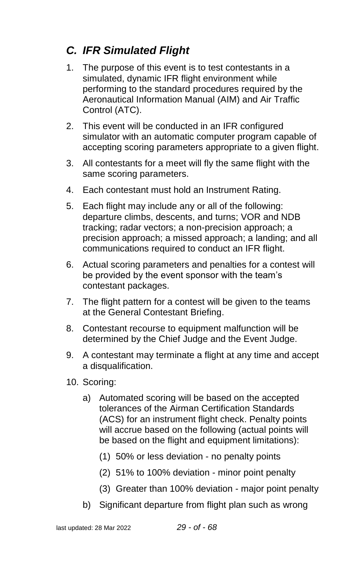# <span id="page-28-0"></span>*C. IFR Simulated Flight*

- 1. The purpose of this event is to test contestants in a simulated, dynamic IFR flight environment while performing to the standard procedures required by the Aeronautical Information Manual (AIM) and Air Traffic Control (ATC).
- 2. This event will be conducted in an IFR configured simulator with an automatic computer program capable of accepting scoring parameters appropriate to a given flight.
- 3. All contestants for a meet will fly the same flight with the same scoring parameters.
- 4. Each contestant must hold an Instrument Rating.
- 5. Each flight may include any or all of the following: departure climbs, descents, and turns; VOR and NDB tracking; radar vectors; a non-precision approach; a precision approach; a missed approach; a landing; and all communications required to conduct an IFR flight.
- 6. Actual scoring parameters and penalties for a contest will be provided by the event sponsor with the team's contestant packages.
- 7. The flight pattern for a contest will be given to the teams at the General Contestant Briefing.
- 8. Contestant recourse to equipment malfunction will be determined by the Chief Judge and the Event Judge.
- 9. A contestant may terminate a flight at any time and accept a disqualification.
- 10. Scoring:
	- a) Automated scoring will be based on the accepted tolerances of the Airman Certification Standards (ACS) for an instrument flight check. Penalty points will accrue based on the following (actual points will be based on the flight and equipment limitations):
		- (1) 50% or less deviation no penalty points
		- (2) 51% to 100% deviation minor point penalty
		- (3) Greater than 100% deviation major point penalty
	- b) Significant departure from flight plan such as wrong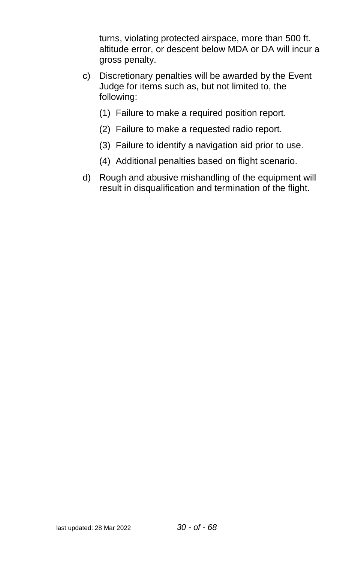turns, violating protected airspace, more than 500 ft. altitude error, or descent below MDA or DA will incur a gross penalty.

- c) Discretionary penalties will be awarded by the Event Judge for items such as, but not limited to, the following:
	- (1) Failure to make a required position report.
	- (2) Failure to make a requested radio report.
	- (3) Failure to identify a navigation aid prior to use.
	- (4) Additional penalties based on flight scenario.
- d) Rough and abusive mishandling of the equipment will result in disqualification and termination of the flight.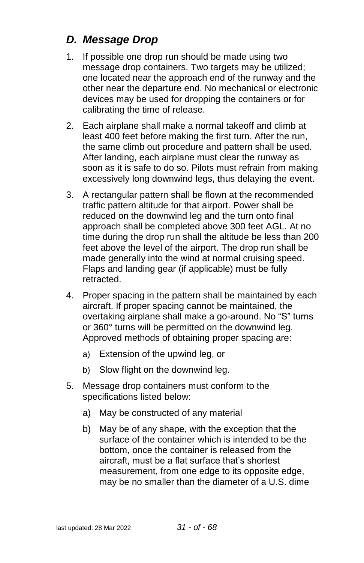# <span id="page-30-0"></span>*D. Message Drop*

- 1. If possible one drop run should be made using two message drop containers. Two targets may be utilized; one located near the approach end of the runway and the other near the departure end. No mechanical or electronic devices may be used for dropping the containers or for calibrating the time of release.
- 2. Each airplane shall make a normal takeoff and climb at least 400 feet before making the first turn. After the run, the same climb out procedure and pattern shall be used. After landing, each airplane must clear the runway as soon as it is safe to do so. Pilots must refrain from making excessively long downwind legs, thus delaying the event.
- 3. A rectangular pattern shall be flown at the recommended traffic pattern altitude for that airport. Power shall be reduced on the downwind leg and the turn onto final approach shall be completed above 300 feet AGL. At no time during the drop run shall the altitude be less than 200 feet above the level of the airport. The drop run shall be made generally into the wind at normal cruising speed. Flaps and landing gear (if applicable) must be fully retracted.
- 4. Proper spacing in the pattern shall be maintained by each aircraft. If proper spacing cannot be maintained, the overtaking airplane shall make a go-around. No "S" turns or 360° turns will be permitted on the downwind leg. Approved methods of obtaining proper spacing are:
	- a) Extension of the upwind leg, or
	- b) Slow flight on the downwind leg.
- 5. Message drop containers must conform to the specifications listed below:
	- a) May be constructed of any material
	- b) May be of any shape, with the exception that the surface of the container which is intended to be the bottom, once the container is released from the aircraft, must be a flat surface that's shortest measurement, from one edge to its opposite edge, may be no smaller than the diameter of a U.S. dime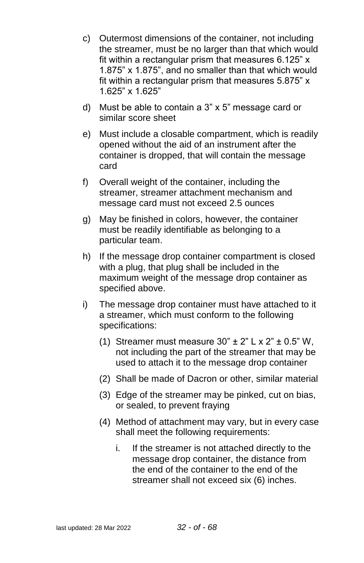- c) Outermost dimensions of the container, not including the streamer, must be no larger than that which would fit within a rectangular prism that measures 6.125" x 1.875" x 1.875", and no smaller than that which would fit within a rectangular prism that measures 5.875" x 1.625" x 1.625"
- d) Must be able to contain a 3" x 5" message card or similar score sheet
- e) Must include a closable compartment, which is readily opened without the aid of an instrument after the container is dropped, that will contain the message card
- f) Overall weight of the container, including the streamer, streamer attachment mechanism and message card must not exceed 2.5 ounces
- g) May be finished in colors, however, the container must be readily identifiable as belonging to a particular team.
- h) If the message drop container compartment is closed with a plug, that plug shall be included in the maximum weight of the message drop container as specified above.
- i) The message drop container must have attached to it a streamer, which must conform to the following specifications:
	- (1) Streamer must measure  $30" \pm 2" L x 2" \pm 0.5" W$ , not including the part of the streamer that may be used to attach it to the message drop container
	- (2) Shall be made of Dacron or other, similar material
	- (3) Edge of the streamer may be pinked, cut on bias, or sealed, to prevent fraying
	- (4) Method of attachment may vary, but in every case shall meet the following requirements:
		- i. If the streamer is not attached directly to the message drop container, the distance from the end of the container to the end of the streamer shall not exceed six (6) inches.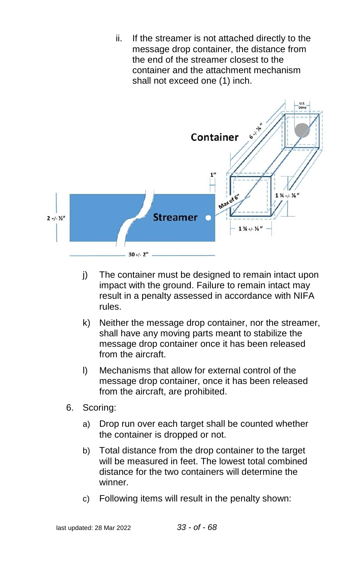ii. If the streamer is not attached directly to the message drop container, the distance from the end of the streamer closest to the container and the attachment mechanism shall not exceed one (1) inch.



- j) The container must be designed to remain intact upon impact with the ground. Failure to remain intact may result in a penalty assessed in accordance with NIFA rules.
- k) Neither the message drop container, nor the streamer, shall have any moving parts meant to stabilize the message drop container once it has been released from the aircraft.
- l) Mechanisms that allow for external control of the message drop container, once it has been released from the aircraft, are prohibited.
- 6. Scoring:
	- a) Drop run over each target shall be counted whether the container is dropped or not.
	- b) Total distance from the drop container to the target will be measured in feet. The lowest total combined distance for the two containers will determine the winner.
	- c) Following items will result in the penalty shown: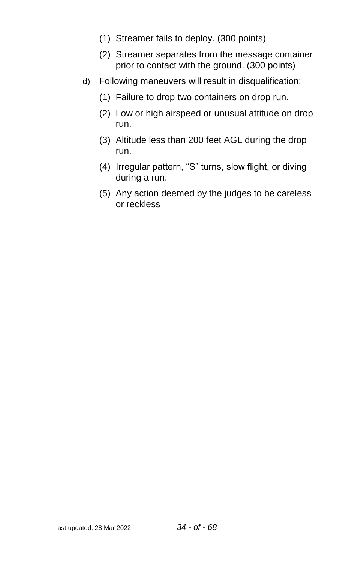- (1) Streamer fails to deploy. (300 points)
- (2) Streamer separates from the message container prior to contact with the ground. (300 points)
- d) Following maneuvers will result in disqualification:
	- (1) Failure to drop two containers on drop run.
	- (2) Low or high airspeed or unusual attitude on drop run.
	- (3) Altitude less than 200 feet AGL during the drop run.
	- (4) Irregular pattern, "S" turns, slow flight, or diving during a run.
	- (5) Any action deemed by the judges to be careless or reckless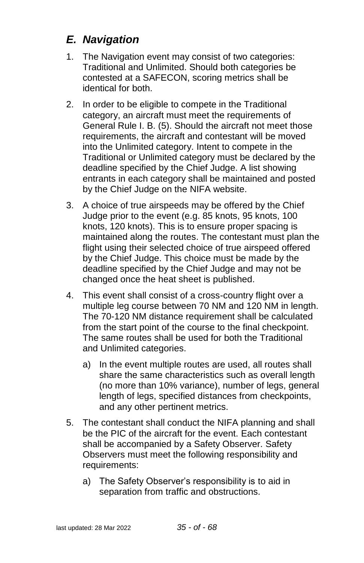# <span id="page-34-0"></span>*E. Navigation*

- 1. The Navigation event may consist of two categories: Traditional and Unlimited. Should both categories be contested at a SAFECON, scoring metrics shall be identical for both.
- 2. In order to be eligible to compete in the Traditional category, an aircraft must meet the requirements of General Rule I. B. (5). Should the aircraft not meet those requirements, the aircraft and contestant will be moved into the Unlimited category. Intent to compete in the Traditional or Unlimited category must be declared by the deadline specified by the Chief Judge. A list showing entrants in each category shall be maintained and posted by the Chief Judge on the NIFA website.
- 3. A choice of true airspeeds may be offered by the Chief Judge prior to the event (e.g. 85 knots, 95 knots, 100 knots, 120 knots). This is to ensure proper spacing is maintained along the routes. The contestant must plan the flight using their selected choice of true airspeed offered by the Chief Judge. This choice must be made by the deadline specified by the Chief Judge and may not be changed once the heat sheet is published.
- 4. This event shall consist of a cross-country flight over a multiple leg course between 70 NM and 120 NM in length. The 70-120 NM distance requirement shall be calculated from the start point of the course to the final checkpoint. The same routes shall be used for both the Traditional and Unlimited categories.
	- a) In the event multiple routes are used, all routes shall share the same characteristics such as overall length (no more than 10% variance), number of legs, general length of legs, specified distances from checkpoints, and any other pertinent metrics.
- 5. The contestant shall conduct the NIFA planning and shall be the PIC of the aircraft for the event. Each contestant shall be accompanied by a Safety Observer. Safety Observers must meet the following responsibility and requirements:
	- a) The Safety Observer's responsibility is to aid in separation from traffic and obstructions.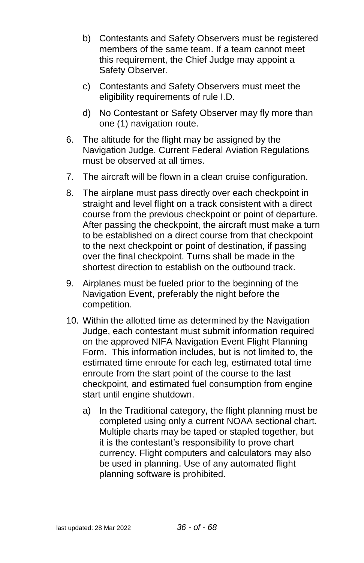- b) Contestants and Safety Observers must be registered members of the same team. If a team cannot meet this requirement, the Chief Judge may appoint a Safety Observer.
- c) Contestants and Safety Observers must meet the eligibility requirements of rule I.D.
- d) No Contestant or Safety Observer may fly more than one (1) navigation route.
- 6. The altitude for the flight may be assigned by the Navigation Judge. Current Federal Aviation Regulations must be observed at all times.
- 7. The aircraft will be flown in a clean cruise configuration.
- 8. The airplane must pass directly over each checkpoint in straight and level flight on a track consistent with a direct course from the previous checkpoint or point of departure. After passing the checkpoint, the aircraft must make a turn to be established on a direct course from that checkpoint to the next checkpoint or point of destination, if passing over the final checkpoint. Turns shall be made in the shortest direction to establish on the outbound track.
- 9. Airplanes must be fueled prior to the beginning of the Navigation Event, preferably the night before the competition.
- 10. Within the allotted time as determined by the Navigation Judge, each contestant must submit information required on the approved NIFA Navigation Event Flight Planning Form. This information includes, but is not limited to, the estimated time enroute for each leg, estimated total time enroute from the start point of the course to the last checkpoint, and estimated fuel consumption from engine start until engine shutdown.
	- a) In the Traditional category, the flight planning must be completed using only a current NOAA sectional chart. Multiple charts may be taped or stapled together, but it is the contestant's responsibility to prove chart currency. Flight computers and calculators may also be used in planning. Use of any automated flight planning software is prohibited.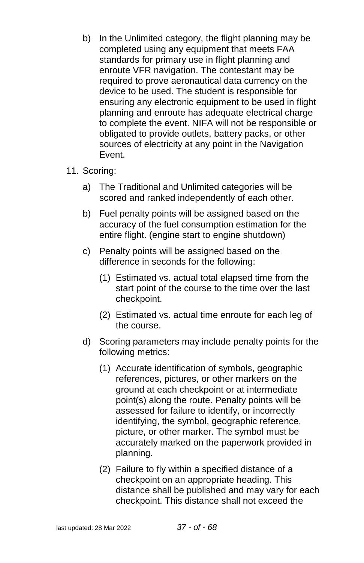- b) In the Unlimited category, the flight planning may be completed using any equipment that meets FAA standards for primary use in flight planning and enroute VFR navigation. The contestant may be required to prove aeronautical data currency on the device to be used. The student is responsible for ensuring any electronic equipment to be used in flight planning and enroute has adequate electrical charge to complete the event. NIFA will not be responsible or obligated to provide outlets, battery packs, or other sources of electricity at any point in the Navigation Event.
- 11. Scoring:
	- a) The Traditional and Unlimited categories will be scored and ranked independently of each other.
	- b) Fuel penalty points will be assigned based on the accuracy of the fuel consumption estimation for the entire flight. (engine start to engine shutdown)
	- c) Penalty points will be assigned based on the difference in seconds for the following:
		- (1) Estimated vs. actual total elapsed time from the start point of the course to the time over the last checkpoint.
		- (2) Estimated vs. actual time enroute for each leg of the course.
	- d) Scoring parameters may include penalty points for the following metrics:
		- (1) Accurate identification of symbols, geographic references, pictures, or other markers on the ground at each checkpoint or at intermediate point(s) along the route. Penalty points will be assessed for failure to identify, or incorrectly identifying, the symbol, geographic reference, picture, or other marker. The symbol must be accurately marked on the paperwork provided in planning.
		- (2) Failure to fly within a specified distance of a checkpoint on an appropriate heading. This distance shall be published and may vary for each checkpoint. This distance shall not exceed the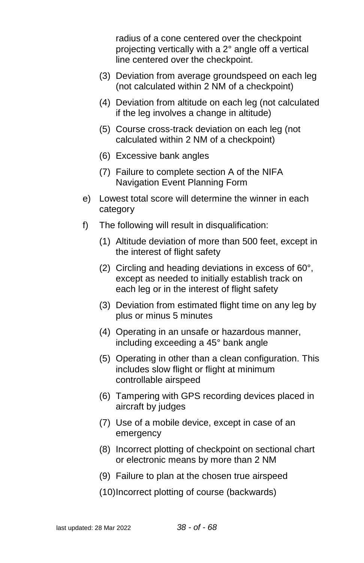radius of a cone centered over the checkpoint projecting vertically with a 2° angle off a vertical line centered over the checkpoint.

- (3) Deviation from average groundspeed on each leg (not calculated within 2 NM of a checkpoint)
- (4) Deviation from altitude on each leg (not calculated if the leg involves a change in altitude)
- (5) Course cross-track deviation on each leg (not calculated within 2 NM of a checkpoint)
- (6) Excessive bank angles
- (7) Failure to complete section A of the NIFA Navigation Event Planning Form
- e) Lowest total score will determine the winner in each category
- f) The following will result in disqualification:
	- (1) Altitude deviation of more than 500 feet, except in the interest of flight safety
	- (2) Circling and heading deviations in excess of 60°, except as needed to initially establish track on each leg or in the interest of flight safety
	- (3) Deviation from estimated flight time on any leg by plus or minus 5 minutes
	- (4) Operating in an unsafe or hazardous manner, including exceeding a 45° bank angle
	- (5) Operating in other than a clean configuration. This includes slow flight or flight at minimum controllable airspeed
	- (6) Tampering with GPS recording devices placed in aircraft by judges
	- (7) Use of a mobile device, except in case of an emergency
	- (8) Incorrect plotting of checkpoint on sectional chart or electronic means by more than 2 NM
	- (9) Failure to plan at the chosen true airspeed

(10)Incorrect plotting of course (backwards)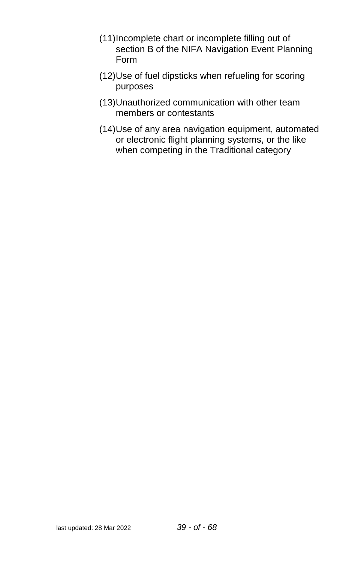- (11)Incomplete chart or incomplete filling out of section B of the NIFA Navigation Event Planning Form
- (12)Use of fuel dipsticks when refueling for scoring purposes
- (13)Unauthorized communication with other team members or contestants
- (14)Use of any area navigation equipment, automated or electronic flight planning systems, or the like when competing in the Traditional category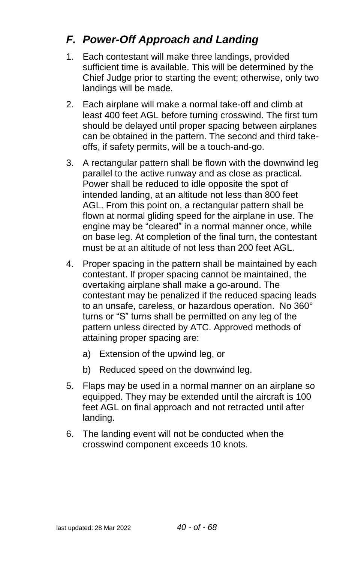# <span id="page-39-0"></span>*F. Power-Off Approach and Landing*

- 1. Each contestant will make three landings, provided sufficient time is available. This will be determined by the Chief Judge prior to starting the event; otherwise, only two landings will be made.
- 2. Each airplane will make a normal take-off and climb at least 400 feet AGL before turning crosswind. The first turn should be delayed until proper spacing between airplanes can be obtained in the pattern. The second and third takeoffs, if safety permits, will be a touch-and-go.
- 3. A rectangular pattern shall be flown with the downwind leg parallel to the active runway and as close as practical. Power shall be reduced to idle opposite the spot of intended landing, at an altitude not less than 800 feet AGL. From this point on, a rectangular pattern shall be flown at normal gliding speed for the airplane in use. The engine may be "cleared" in a normal manner once, while on base leg. At completion of the final turn, the contestant must be at an altitude of not less than 200 feet AGL.
- 4. Proper spacing in the pattern shall be maintained by each contestant. If proper spacing cannot be maintained, the overtaking airplane shall make a go-around. The contestant may be penalized if the reduced spacing leads to an unsafe, careless, or hazardous operation. No 360° turns or "S" turns shall be permitted on any leg of the pattern unless directed by ATC. Approved methods of attaining proper spacing are:
	- a) Extension of the upwind leg, or
	- b) Reduced speed on the downwind leg.
- 5. Flaps may be used in a normal manner on an airplane so equipped. They may be extended until the aircraft is 100 feet AGL on final approach and not retracted until after landing.
- 6. The landing event will not be conducted when the crosswind component exceeds 10 knots.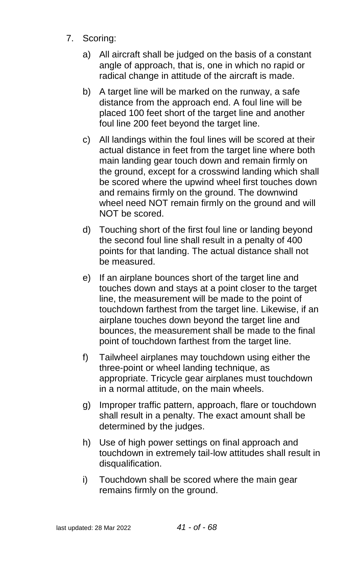- 7. Scoring:
	- a) All aircraft shall be judged on the basis of a constant angle of approach, that is, one in which no rapid or radical change in attitude of the aircraft is made.
	- b) A target line will be marked on the runway, a safe distance from the approach end. A foul line will be placed 100 feet short of the target line and another foul line 200 feet beyond the target line.
	- c) All landings within the foul lines will be scored at their actual distance in feet from the target line where both main landing gear touch down and remain firmly on the ground, except for a crosswind landing which shall be scored where the upwind wheel first touches down and remains firmly on the ground. The downwind wheel need NOT remain firmly on the ground and will NOT be scored.
	- d) Touching short of the first foul line or landing beyond the second foul line shall result in a penalty of 400 points for that landing. The actual distance shall not be measured.
	- e) If an airplane bounces short of the target line and touches down and stays at a point closer to the target line, the measurement will be made to the point of touchdown farthest from the target line. Likewise, if an airplane touches down beyond the target line and bounces, the measurement shall be made to the final point of touchdown farthest from the target line.
	- f) Tailwheel airplanes may touchdown using either the three-point or wheel landing technique, as appropriate. Tricycle gear airplanes must touchdown in a normal attitude, on the main wheels.
	- g) Improper traffic pattern, approach, flare or touchdown shall result in a penalty. The exact amount shall be determined by the judges.
	- h) Use of high power settings on final approach and touchdown in extremely tail-low attitudes shall result in disqualification.
	- i) Touchdown shall be scored where the main gear remains firmly on the ground.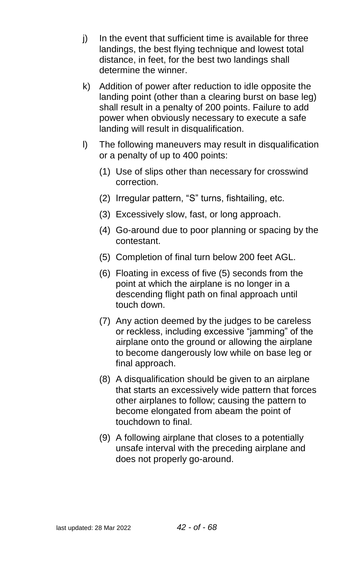- j) In the event that sufficient time is available for three landings, the best flying technique and lowest total distance, in feet, for the best two landings shall determine the winner.
- k) Addition of power after reduction to idle opposite the landing point (other than a clearing burst on base leg) shall result in a penalty of 200 points. Failure to add power when obviously necessary to execute a safe landing will result in disqualification.
- l) The following maneuvers may result in disqualification or a penalty of up to 400 points:
	- (1) Use of slips other than necessary for crosswind correction.
	- (2) Irregular pattern, "S" turns, fishtailing, etc.
	- (3) Excessively slow, fast, or long approach.
	- (4) Go-around due to poor planning or spacing by the contestant.
	- (5) Completion of final turn below 200 feet AGL.
	- (6) Floating in excess of five (5) seconds from the point at which the airplane is no longer in a descending flight path on final approach until touch down.
	- (7) Any action deemed by the judges to be careless or reckless, including excessive "jamming" of the airplane onto the ground or allowing the airplane to become dangerously low while on base leg or final approach.
	- (8) A disqualification should be given to an airplane that starts an excessively wide pattern that forces other airplanes to follow; causing the pattern to become elongated from abeam the point of touchdown to final.
	- (9) A following airplane that closes to a potentially unsafe interval with the preceding airplane and does not properly go-around.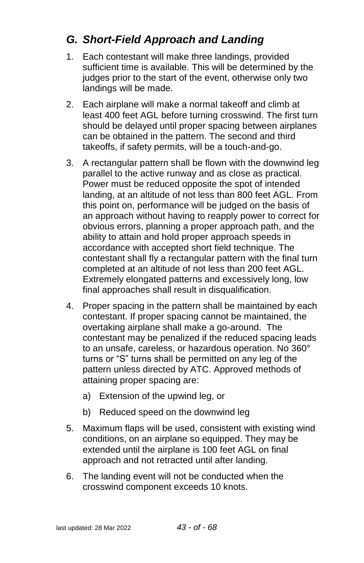# <span id="page-42-0"></span>*G. Short-Field Approach and Landing*

- 1. Each contestant will make three landings, provided sufficient time is available. This will be determined by the judges prior to the start of the event, otherwise only two landings will be made.
- 2. Each airplane will make a normal takeoff and climb at least 400 feet AGL before turning crosswind. The first turn should be delayed until proper spacing between airplanes can be obtained in the pattern. The second and third takeoffs, if safety permits, will be a touch-and-go.
- 3. A rectangular pattern shall be flown with the downwind leg parallel to the active runway and as close as practical. Power must be reduced opposite the spot of intended landing, at an altitude of not less than 800 feet AGL. From this point on, performance will be judged on the basis of an approach without having to reapply power to correct for obvious errors, planning a proper approach path, and the ability to attain and hold proper approach speeds in accordance with accepted short field technique. The contestant shall fly a rectangular pattern with the final turn completed at an altitude of not less than 200 feet AGL. Extremely elongated patterns and excessively long, low final approaches shall result in disqualification.
- 4. Proper spacing in the pattern shall be maintained by each contestant. If proper spacing cannot be maintained, the overtaking airplane shall make a go-around. The contestant may be penalized if the reduced spacing leads to an unsafe, careless, or hazardous operation. No 360° turns or "S" turns shall be permitted on any leg of the pattern unless directed by ATC. Approved methods of attaining proper spacing are:
	- a) Extension of the upwind leg, or
	- b) Reduced speed on the downwind leg
- 5. Maximum flaps will be used, consistent with existing wind conditions, on an airplane so equipped. They may be extended until the airplane is 100 feet AGL on final approach and not retracted until after landing.
- 6. The landing event will not be conducted when the crosswind component exceeds 10 knots.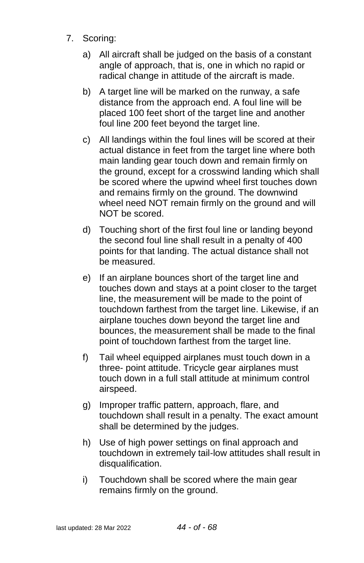- 7. Scoring:
	- a) All aircraft shall be judged on the basis of a constant angle of approach, that is, one in which no rapid or radical change in attitude of the aircraft is made.
	- b) A target line will be marked on the runway, a safe distance from the approach end. A foul line will be placed 100 feet short of the target line and another foul line 200 feet beyond the target line.
	- c) All landings within the foul lines will be scored at their actual distance in feet from the target line where both main landing gear touch down and remain firmly on the ground, except for a crosswind landing which shall be scored where the upwind wheel first touches down and remains firmly on the ground. The downwind wheel need NOT remain firmly on the ground and will NOT be scored.
	- d) Touching short of the first foul line or landing beyond the second foul line shall result in a penalty of 400 points for that landing. The actual distance shall not be measured.
	- e) If an airplane bounces short of the target line and touches down and stays at a point closer to the target line, the measurement will be made to the point of touchdown farthest from the target line. Likewise, if an airplane touches down beyond the target line and bounces, the measurement shall be made to the final point of touchdown farthest from the target line.
	- f) Tail wheel equipped airplanes must touch down in a three- point attitude. Tricycle gear airplanes must touch down in a full stall attitude at minimum control airspeed.
	- g) Improper traffic pattern, approach, flare, and touchdown shall result in a penalty. The exact amount shall be determined by the judges.
	- h) Use of high power settings on final approach and touchdown in extremely tail-low attitudes shall result in disqualification.
	- i) Touchdown shall be scored where the main gear remains firmly on the ground.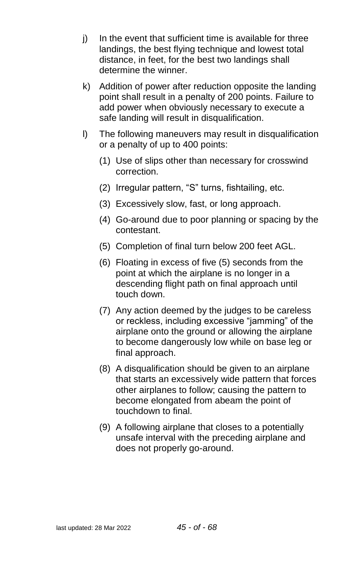- j) In the event that sufficient time is available for three landings, the best flying technique and lowest total distance, in feet, for the best two landings shall determine the winner.
- k) Addition of power after reduction opposite the landing point shall result in a penalty of 200 points. Failure to add power when obviously necessary to execute a safe landing will result in disqualification.
- l) The following maneuvers may result in disqualification or a penalty of up to 400 points:
	- (1) Use of slips other than necessary for crosswind correction.
	- (2) Irregular pattern, "S" turns, fishtailing, etc.
	- (3) Excessively slow, fast, or long approach.
	- (4) Go-around due to poor planning or spacing by the contestant.
	- (5) Completion of final turn below 200 feet AGL.
	- (6) Floating in excess of five (5) seconds from the point at which the airplane is no longer in a descending flight path on final approach until touch down.
	- (7) Any action deemed by the judges to be careless or reckless, including excessive "jamming" of the airplane onto the ground or allowing the airplane to become dangerously low while on base leg or final approach.
	- (8) A disqualification should be given to an airplane that starts an excessively wide pattern that forces other airplanes to follow; causing the pattern to become elongated from abeam the point of touchdown to final.
	- (9) A following airplane that closes to a potentially unsafe interval with the preceding airplane and does not properly go-around.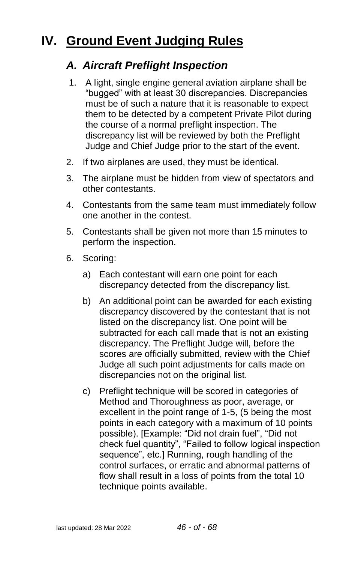# <span id="page-45-1"></span><span id="page-45-0"></span>**IV. Ground Event Judging Rules**

### *A. Aircraft Preflight Inspection*

- 1. A light, single engine general aviation airplane shall be "bugged" with at least 30 discrepancies. Discrepancies must be of such a nature that it is reasonable to expect them to be detected by a competent Private Pilot during the course of a normal preflight inspection. The discrepancy list will be reviewed by both the Preflight Judge and Chief Judge prior to the start of the event.
- 2. If two airplanes are used, they must be identical.
- 3. The airplane must be hidden from view of spectators and other contestants.
- 4. Contestants from the same team must immediately follow one another in the contest.
- 5. Contestants shall be given not more than 15 minutes to perform the inspection.
- 6. Scoring:
	- a) Each contestant will earn one point for each discrepancy detected from the discrepancy list.
	- b) An additional point can be awarded for each existing discrepancy discovered by the contestant that is not listed on the discrepancy list. One point will be subtracted for each call made that is not an existing discrepancy. The Preflight Judge will, before the scores are officially submitted, review with the Chief Judge all such point adjustments for calls made on discrepancies not on the original list.
	- c) Preflight technique will be scored in categories of Method and Thoroughness as poor, average, or excellent in the point range of 1-5, (5 being the most points in each category with a maximum of 10 points possible). [Example: "Did not drain fuel", "Did not check fuel quantity", "Failed to follow logical inspection sequence", etc.] Running, rough handling of the control surfaces, or erratic and abnormal patterns of flow shall result in a loss of points from the total 10 technique points available.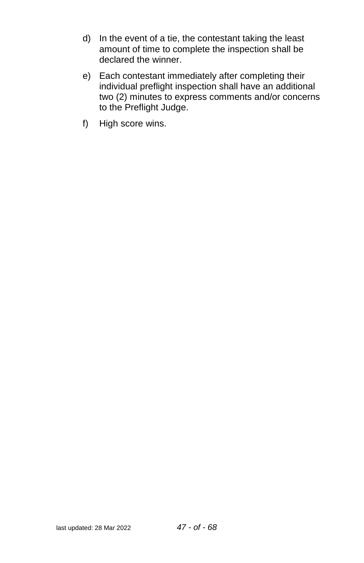- d) In the event of a tie, the contestant taking the least amount of time to complete the inspection shall be declared the winner.
- e) Each contestant immediately after completing their individual preflight inspection shall have an additional two (2) minutes to express comments and/or concerns to the Preflight Judge.
- f) High score wins.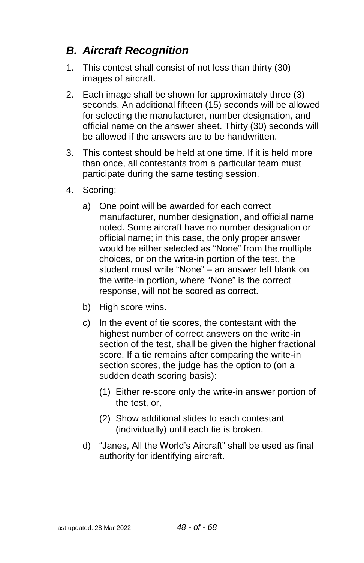# <span id="page-47-0"></span>*B. Aircraft Recognition*

- 1. This contest shall consist of not less than thirty (30) images of aircraft.
- 2. Each image shall be shown for approximately three (3) seconds. An additional fifteen (15) seconds will be allowed for selecting the manufacturer, number designation, and official name on the answer sheet. Thirty (30) seconds will be allowed if the answers are to be handwritten.
- 3. This contest should be held at one time. If it is held more than once, all contestants from a particular team must participate during the same testing session.
- 4. Scoring:
	- a) One point will be awarded for each correct manufacturer, number designation, and official name noted. Some aircraft have no number designation or official name; in this case, the only proper answer would be either selected as "None" from the multiple choices, or on the write-in portion of the test, the student must write "None" – an answer left blank on the write-in portion, where "None" is the correct response, will not be scored as correct.
	- b) High score wins.
	- c) In the event of tie scores, the contestant with the highest number of correct answers on the write-in section of the test, shall be given the higher fractional score. If a tie remains after comparing the write-in section scores, the judge has the option to (on a sudden death scoring basis):
		- (1) Either re-score only the write-in answer portion of the test, or,
		- (2) Show additional slides to each contestant (individually) until each tie is broken.
	- d) "Janes, All the World's Aircraft" shall be used as final authority for identifying aircraft.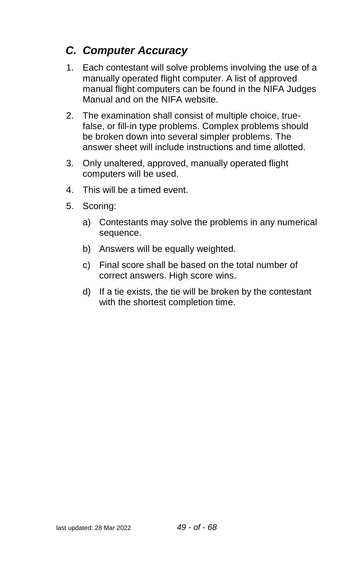# <span id="page-48-0"></span>*C. Computer Accuracy*

- 1. Each contestant will solve problems involving the use of a manually operated flight computer. A list of approved manual flight computers can be found in the NIFA Judges Manual and on the NIFA website.
- 2. The examination shall consist of multiple choice, truefalse, or fill-in type problems. Complex problems should be broken down into several simpler problems. The answer sheet will include instructions and time allotted.
- 3. Only unaltered, approved, manually operated flight computers will be used.
- 4. This will be a timed event.
- 5. Scoring:
	- a) Contestants may solve the problems in any numerical sequence.
	- b) Answers will be equally weighted.
	- c) Final score shall be based on the total number of correct answers. High score wins.
	- d) If a tie exists, the tie will be broken by the contestant with the shortest completion time.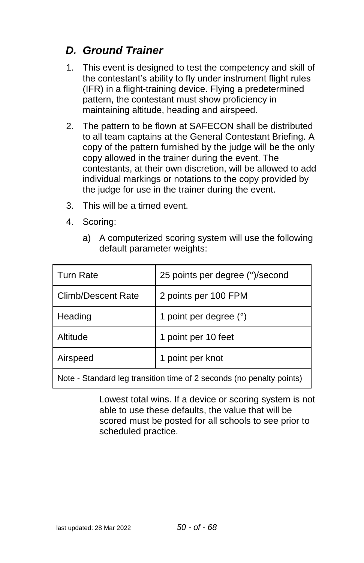# <span id="page-49-0"></span>*D. Ground Trainer*

- 1. This event is designed to test the competency and skill of the contestant's ability to fly under instrument flight rules (IFR) in a flight-training device. Flying a predetermined pattern, the contestant must show proficiency in maintaining altitude, heading and airspeed.
- 2. The pattern to be flown at SAFECON shall be distributed to all team captains at the General Contestant Briefing. A copy of the pattern furnished by the judge will be the only copy allowed in the trainer during the event. The contestants, at their own discretion, will be allowed to add individual markings or notations to the copy provided by the judge for use in the trainer during the event.
- 3. This will be a timed event.
- 4. Scoring:
	- a) A computerized scoring system will use the following default parameter weights:

| <b>Turn Rate</b>                                                     | 25 points per degree (°)/second |  |
|----------------------------------------------------------------------|---------------------------------|--|
| Climb/Descent Rate                                                   | 2 points per 100 FPM            |  |
| Heading                                                              | 1 point per degree (°)          |  |
| Altitude                                                             | 1 point per 10 feet             |  |
| Airspeed                                                             | 1 point per knot                |  |
| Note - Standard leg transition time of 2 seconds (no penalty points) |                                 |  |

Lowest total wins. If a device or scoring system is not able to use these defaults, the value that will be scored must be posted for all schools to see prior to scheduled practice.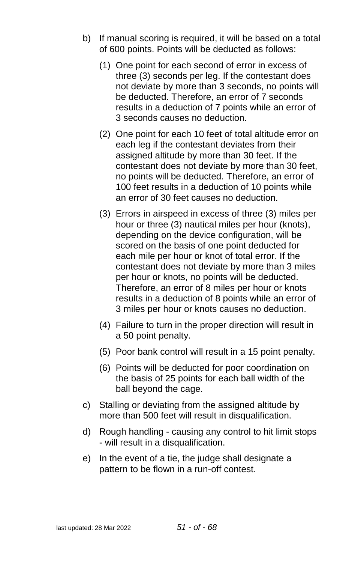- b) If manual scoring is required, it will be based on a total of 600 points. Points will be deducted as follows:
	- (1) One point for each second of error in excess of three (3) seconds per leg. If the contestant does not deviate by more than 3 seconds, no points will be deducted. Therefore, an error of 7 seconds results in a deduction of 7 points while an error of 3 seconds causes no deduction.
	- (2) One point for each 10 feet of total altitude error on each leg if the contestant deviates from their assigned altitude by more than 30 feet. If the contestant does not deviate by more than 30 feet, no points will be deducted. Therefore, an error of 100 feet results in a deduction of 10 points while an error of 30 feet causes no deduction.
	- (3) Errors in airspeed in excess of three (3) miles per hour or three (3) nautical miles per hour (knots), depending on the device configuration, will be scored on the basis of one point deducted for each mile per hour or knot of total error. If the contestant does not deviate by more than 3 miles per hour or knots, no points will be deducted. Therefore, an error of 8 miles per hour or knots results in a deduction of 8 points while an error of 3 miles per hour or knots causes no deduction.
	- (4) Failure to turn in the proper direction will result in a 50 point penalty.
	- (5) Poor bank control will result in a 15 point penalty.
	- (6) Points will be deducted for poor coordination on the basis of 25 points for each ball width of the ball beyond the cage.
- c) Stalling or deviating from the assigned altitude by more than 500 feet will result in disqualification.
- d) Rough handling causing any control to hit limit stops - will result in a disqualification.
- e) In the event of a tie, the judge shall designate a pattern to be flown in a run-off contest.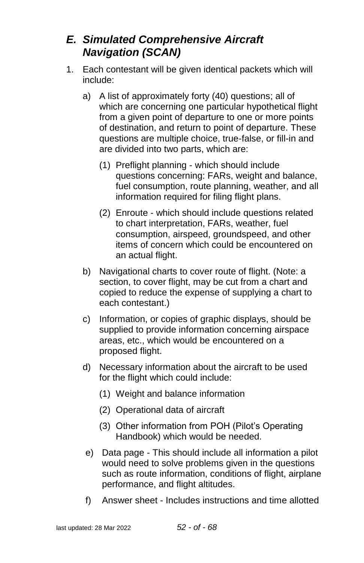# <span id="page-51-0"></span>*E. Simulated Comprehensive Aircraft Navigation (SCAN)*

- 1. Each contestant will be given identical packets which will include:
	- a) A list of approximately forty (40) questions; all of which are concerning one particular hypothetical flight from a given point of departure to one or more points of destination, and return to point of departure. These questions are multiple choice, true-false, or fill-in and are divided into two parts, which are:
		- (1) Preflight planning which should include questions concerning: FARs, weight and balance, fuel consumption, route planning, weather, and all information required for filing flight plans.
		- (2) Enroute which should include questions related to chart interpretation, FARs, weather, fuel consumption, airspeed, groundspeed, and other items of concern which could be encountered on an actual flight.
	- b) Navigational charts to cover route of flight. (Note: a section, to cover flight, may be cut from a chart and copied to reduce the expense of supplying a chart to each contestant.)
	- c) Information, or copies of graphic displays, should be supplied to provide information concerning airspace areas, etc., which would be encountered on a proposed flight.
	- d) Necessary information about the aircraft to be used for the flight which could include:
		- (1) Weight and balance information
		- (2) Operational data of aircraft
		- (3) Other information from POH (Pilot's Operating Handbook) which would be needed.
	- e) Data page This should include all information a pilot would need to solve problems given in the questions such as route information, conditions of flight, airplane performance, and flight altitudes.
	- f) Answer sheet Includes instructions and time allotted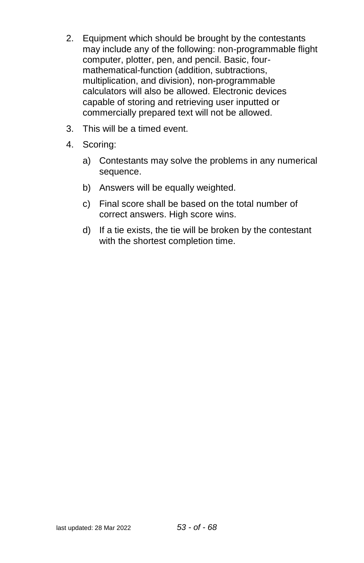- 2. Equipment which should be brought by the contestants may include any of the following: non-programmable flight computer, plotter, pen, and pencil. Basic, fourmathematical-function (addition, subtractions, multiplication, and division), non-programmable calculators will also be allowed. Electronic devices capable of storing and retrieving user inputted or commercially prepared text will not be allowed.
- 3. This will be a timed event.
- 4. Scoring:
	- a) Contestants may solve the problems in any numerical sequence.
	- b) Answers will be equally weighted.
	- c) Final score shall be based on the total number of correct answers. High score wins.
	- d) If a tie exists, the tie will be broken by the contestant with the shortest completion time.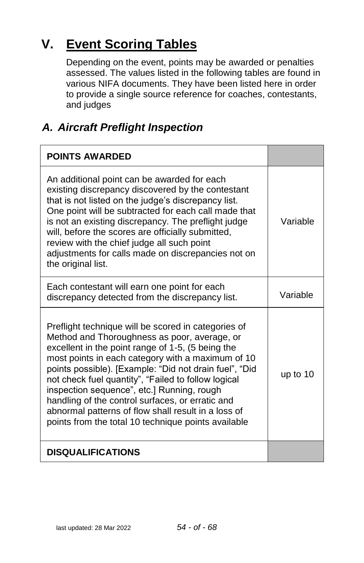# <span id="page-53-0"></span>**V. Event Scoring Tables**

Depending on the event, points may be awarded or penalties assessed. The values listed in the following tables are found in various NIFA documents. They have been listed here in order to provide a single source reference for coaches, contestants, and judges

# <span id="page-53-1"></span>*A. Aircraft Preflight Inspection*

| <b>POINTS AWARDED</b>                                                                                                                                                                                                                                                                                                                                                                                                                                                                                                                          |          |
|------------------------------------------------------------------------------------------------------------------------------------------------------------------------------------------------------------------------------------------------------------------------------------------------------------------------------------------------------------------------------------------------------------------------------------------------------------------------------------------------------------------------------------------------|----------|
| An additional point can be awarded for each<br>existing discrepancy discovered by the contestant<br>that is not listed on the judge's discrepancy list.<br>One point will be subtracted for each call made that<br>is not an existing discrepancy. The preflight judge<br>will, before the scores are officially submitted,<br>review with the chief judge all such point<br>adjustments for calls made on discrepancies not on<br>the original list.                                                                                          | Variable |
| Each contestant will earn one point for each<br>discrepancy detected from the discrepancy list.                                                                                                                                                                                                                                                                                                                                                                                                                                                | Variable |
| Preflight technique will be scored in categories of<br>Method and Thoroughness as poor, average, or<br>excellent in the point range of 1-5, (5 being the<br>most points in each category with a maximum of 10<br>points possible). [Example: "Did not drain fuel", "Did<br>not check fuel quantity", "Failed to follow logical<br>inspection sequence", etc.] Running, rough<br>handling of the control surfaces, or erratic and<br>abnormal patterns of flow shall result in a loss of<br>points from the total 10 technique points available | up to 10 |
| <b>DISQUALIFICATIONS</b>                                                                                                                                                                                                                                                                                                                                                                                                                                                                                                                       |          |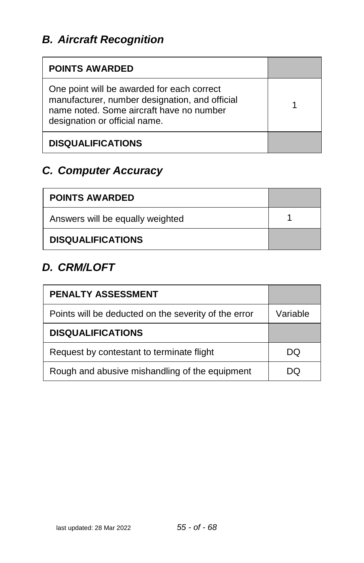<span id="page-54-0"></span>

| <b>POINTS AWARDED</b>                                                                                                                                                     |  |
|---------------------------------------------------------------------------------------------------------------------------------------------------------------------------|--|
| One point will be awarded for each correct<br>manufacturer, number designation, and official<br>name noted. Some aircraft have no number<br>designation or official name. |  |
| <b>DISQUALIFICATIONS</b>                                                                                                                                                  |  |

# <span id="page-54-1"></span>*C. Computer Accuracy*

| <b>POINTS AWARDED</b>            |  |
|----------------------------------|--|
| Answers will be equally weighted |  |
| <b>DISQUALIFICATIONS</b>         |  |

# <span id="page-54-2"></span>*D. CRM/LOFT*

| <b>PENALTY ASSESSMENT</b>                            |          |
|------------------------------------------------------|----------|
| Points will be deducted on the severity of the error | Variable |
| <b>DISQUALIFICATIONS</b>                             |          |
| Request by contestant to terminate flight            | DQ       |
| Rough and abusive mishandling of the equipment       | DО       |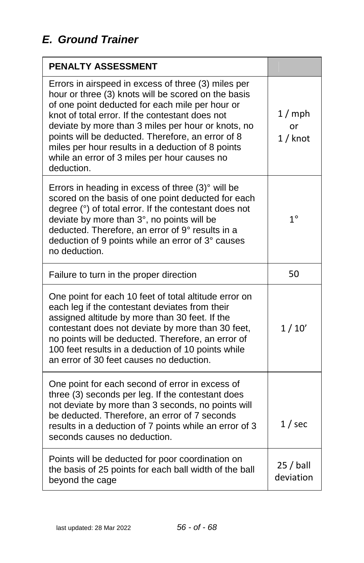<span id="page-55-0"></span>

| <b>PENALTY ASSESSMENT</b>                                                                                                                                                                                                                                                                                                                                                                                                                      |                         |
|------------------------------------------------------------------------------------------------------------------------------------------------------------------------------------------------------------------------------------------------------------------------------------------------------------------------------------------------------------------------------------------------------------------------------------------------|-------------------------|
| Errors in airspeed in excess of three (3) miles per<br>hour or three (3) knots will be scored on the basis<br>of one point deducted for each mile per hour or<br>knot of total error. If the contestant does not<br>deviate by more than 3 miles per hour or knots, no<br>points will be deducted. Therefore, an error of 8<br>miles per hour results in a deduction of 8 points<br>while an error of 3 miles per hour causes no<br>deduction. | 1/mph<br>or<br>1 / knot |
| Errors in heading in excess of three $(3)^\circ$ will be<br>scored on the basis of one point deducted for each<br>degree (°) of total error. If the contestant does not<br>deviate by more than 3°, no points will be<br>deducted. Therefore, an error of 9° results in a<br>deduction of 9 points while an error of 3° causes<br>no deduction.                                                                                                | $1^\circ$               |
| Failure to turn in the proper direction                                                                                                                                                                                                                                                                                                                                                                                                        | 50                      |
| One point for each 10 feet of total altitude error on<br>each leg if the contestant deviates from their<br>assigned altitude by more than 30 feet. If the<br>contestant does not deviate by more than 30 feet,<br>no points will be deducted. Therefore, an error of<br>100 feet results in a deduction of 10 points while<br>an error of 30 feet causes no deduction.                                                                         | 1/10'                   |
| One point for each second of error in excess of<br>three (3) seconds per leg. If the contestant does<br>not deviate by more than 3 seconds, no points will<br>be deducted. Therefore, an error of 7 seconds<br>results in a deduction of 7 points while an error of 3<br>seconds causes no deduction.                                                                                                                                          | $1/$ sec                |
| Points will be deducted for poor coordination on<br>the basis of 25 points for each ball width of the ball<br>beyond the cage                                                                                                                                                                                                                                                                                                                  | $25/$ ball<br>deviation |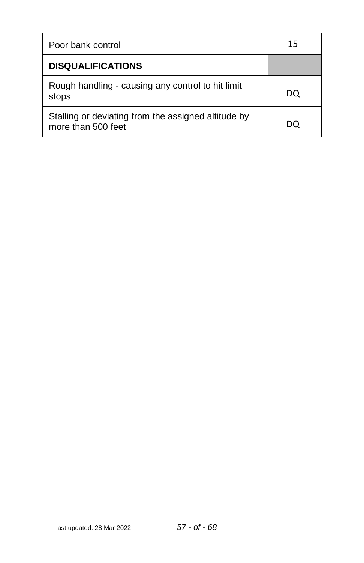| Poor bank control                                                         | 15 |
|---------------------------------------------------------------------------|----|
| <b>DISQUALIFICATIONS</b>                                                  |    |
| Rough handling - causing any control to hit limit<br>stops                | DO |
| Stalling or deviating from the assigned altitude by<br>more than 500 feet |    |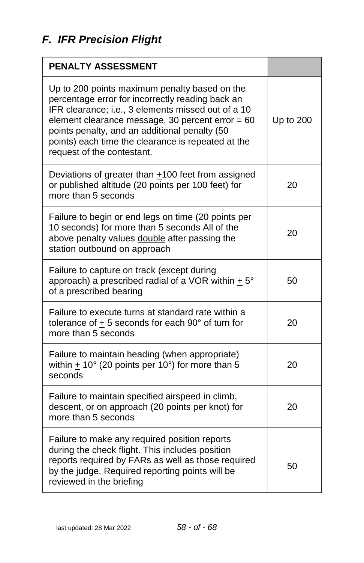<span id="page-57-0"></span>

| PENALTY ASSESSMENT                                                                                                                                                                                                                                                                                                                                 |           |
|----------------------------------------------------------------------------------------------------------------------------------------------------------------------------------------------------------------------------------------------------------------------------------------------------------------------------------------------------|-----------|
| Up to 200 points maximum penalty based on the<br>percentage error for incorrectly reading back an<br>IFR clearance; i.e., 3 elements missed out of a 10<br>element clearance message, 30 percent error $= 60$<br>points penalty, and an additional penalty (50<br>points) each time the clearance is repeated at the<br>request of the contestant. | Up to 200 |
| Deviations of greater than $+100$ feet from assigned<br>or published altitude (20 points per 100 feet) for<br>more than 5 seconds                                                                                                                                                                                                                  | 20        |
| Failure to begin or end legs on time (20 points per<br>10 seconds) for more than 5 seconds All of the<br>above penalty values double after passing the<br>station outbound on approach                                                                                                                                                             | 20        |
| Failure to capture on track (except during<br>approach) a prescribed radial of a VOR within $+5^{\circ}$<br>of a prescribed bearing                                                                                                                                                                                                                | 50        |
| Failure to execute turns at standard rate within a<br>tolerance of $\pm$ 5 seconds for each 90 $^{\circ}$ of turn for<br>more than 5 seconds                                                                                                                                                                                                       | 20        |
| Failure to maintain heading (when appropriate)<br>within + $10^{\circ}$ (20 points per $10^{\circ}$ ) for more than 5<br>seconds                                                                                                                                                                                                                   | 20        |
| Failure to maintain specified airspeed in climb,<br>descent, or on approach (20 points per knot) for<br>more than 5 seconds                                                                                                                                                                                                                        | 20        |
| Failure to make any required position reports<br>during the check flight. This includes position<br>reports required by FARs as well as those required<br>by the judge. Required reporting points will be<br>reviewed in the briefing                                                                                                              | 50        |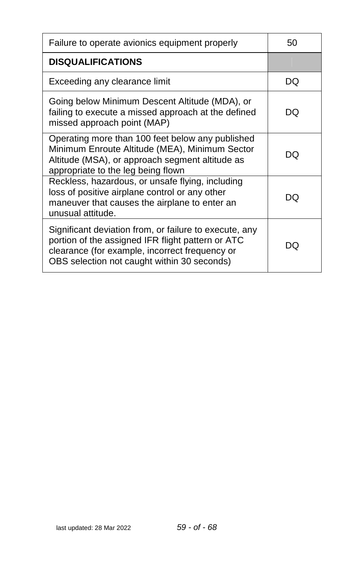| Failure to operate avionics equipment properly                                                                                                                                                               | 50 |
|--------------------------------------------------------------------------------------------------------------------------------------------------------------------------------------------------------------|----|
| <b>DISQUALIFICATIONS</b>                                                                                                                                                                                     |    |
| Exceeding any clearance limit                                                                                                                                                                                | DQ |
| Going below Minimum Descent Altitude (MDA), or<br>failing to execute a missed approach at the defined<br>missed approach point (MAP)                                                                         | DO |
| Operating more than 100 feet below any published<br>Minimum Enroute Altitude (MEA), Minimum Sector<br>Altitude (MSA), or approach segment altitude as<br>appropriate to the leg being flown                  | DO |
| Reckless, hazardous, or unsafe flying, including<br>loss of positive airplane control or any other<br>maneuver that causes the airplane to enter an<br>unusual attitude.                                     | DQ |
| Significant deviation from, or failure to execute, any<br>portion of the assigned IFR flight pattern or ATC<br>clearance (for example, incorrect frequency or<br>OBS selection not caught within 30 seconds) | DO |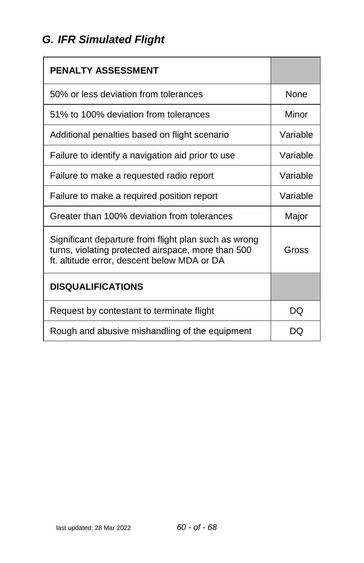# <span id="page-59-0"></span>*G. IFR Simulated Flight*

| PENALTY ASSESSMENT                                                                                                                                        |          |
|-----------------------------------------------------------------------------------------------------------------------------------------------------------|----------|
| 50% or less deviation from tolerances                                                                                                                     | None     |
| 51% to 100% deviation from tolerances                                                                                                                     | Minor    |
| Additional penalties based on flight scenario                                                                                                             | Variable |
| Failure to identify a navigation aid prior to use                                                                                                         | Variable |
| Failure to make a requested radio report                                                                                                                  | Variable |
| Failure to make a required position report                                                                                                                | Variable |
| Greater than 100% deviation from tolerances                                                                                                               | Major    |
| Significant departure from flight plan such as wrong<br>turns, violating protected airspace, more than 500<br>ft. altitude error, descent below MDA or DA | Gross    |
| <b>DISQUALIFICATIONS</b>                                                                                                                                  |          |
| Request by contestant to terminate flight                                                                                                                 | DQ       |
| Rough and abusive mishandling of the equipment                                                                                                            | I )( .)  |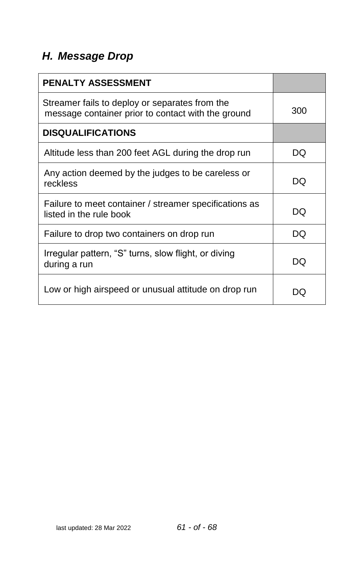# <span id="page-60-0"></span>*H. Message Drop*

| <b>PENALTY ASSESSMENT</b>                                                                            |     |
|------------------------------------------------------------------------------------------------------|-----|
| Streamer fails to deploy or separates from the<br>message container prior to contact with the ground | 300 |
| <b>DISQUALIFICATIONS</b>                                                                             |     |
| Altitude less than 200 feet AGL during the drop run                                                  | DQ  |
| Any action deemed by the judges to be careless or<br>reckless                                        | DQ  |
| Failure to meet container / streamer specifications as<br>listed in the rule book                    | DO  |
| Failure to drop two containers on drop run                                                           | DO  |
| Irregular pattern, "S" turns, slow flight, or diving<br>during a run                                 | DO  |
| Low or high airspeed or unusual attitude on drop run                                                 |     |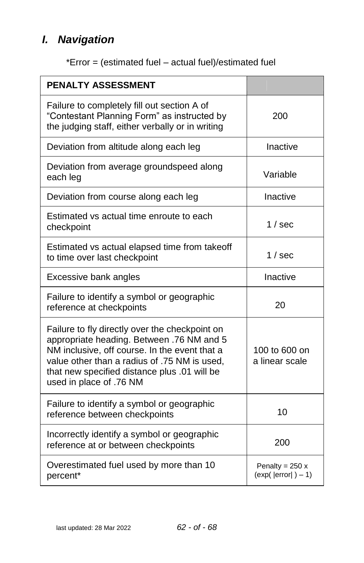# <span id="page-61-0"></span>*I. Navigation*

|  | *Error = (estimated fuel - actual fuel)/estimated fuel |  |
|--|--------------------------------------------------------|--|
|--|--------------------------------------------------------|--|

| <b>PENALTY ASSESSMENT</b>                                                                                                                                                                                                                                               |                                          |
|-------------------------------------------------------------------------------------------------------------------------------------------------------------------------------------------------------------------------------------------------------------------------|------------------------------------------|
| Failure to completely fill out section A of<br>"Contestant Planning Form" as instructed by<br>the judging staff, either verbally or in writing                                                                                                                          | 200                                      |
| Deviation from altitude along each leg                                                                                                                                                                                                                                  | Inactive                                 |
| Deviation from average groundspeed along<br>each leg                                                                                                                                                                                                                    | Variable                                 |
| Deviation from course along each leg                                                                                                                                                                                                                                    | Inactive                                 |
| Estimated vs actual time enroute to each<br>checkpoint                                                                                                                                                                                                                  | 1 / sec                                  |
| Estimated vs actual elapsed time from takeoff<br>to time over last checkpoint                                                                                                                                                                                           | $1/$ sec                                 |
| Excessive bank angles                                                                                                                                                                                                                                                   | Inactive                                 |
| Failure to identify a symbol or geographic<br>reference at checkpoints                                                                                                                                                                                                  | 20                                       |
| Failure to fly directly over the checkpoint on<br>appropriate heading. Between .76 NM and 5<br>NM inclusive, off course. In the event that a<br>value other than a radius of .75 NM is used,<br>that new specified distance plus .01 will be<br>used in place of .76 NM | 100 to 600 on<br>a linear scale          |
| Failure to identify a symbol or geographic<br>reference between checkpoints                                                                                                                                                                                             | 10                                       |
| Incorrectly identify a symbol or geographic<br>reference at or between checkpoints                                                                                                                                                                                      | 200                                      |
| Overestimated fuel used by more than 10<br>percent*                                                                                                                                                                                                                     | Penalty = $250x$<br>$(exp( error ) - 1)$ |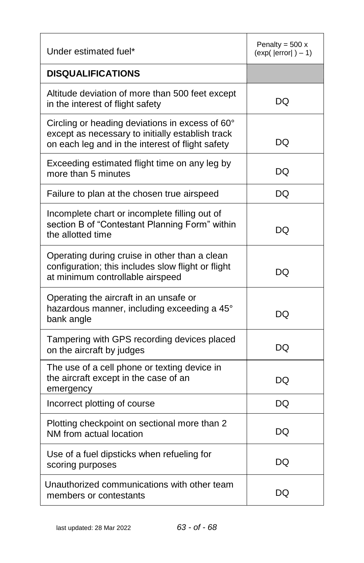| Under estimated fuel*                                                                                                                                   | Penalty = $500x$<br>$\left(\exp\left(\left.\right \text{error}\right )-1\right)$ |
|---------------------------------------------------------------------------------------------------------------------------------------------------------|----------------------------------------------------------------------------------|
| <b>DISQUALIFICATIONS</b>                                                                                                                                |                                                                                  |
| Altitude deviation of more than 500 feet except<br>in the interest of flight safety                                                                     | DQ                                                                               |
| Circling or heading deviations in excess of 60°<br>except as necessary to initially establish track<br>on each leg and in the interest of flight safety | DQ                                                                               |
| Exceeding estimated flight time on any leg by<br>more than 5 minutes                                                                                    | DQ                                                                               |
| Failure to plan at the chosen true airspeed                                                                                                             | DQ                                                                               |
| Incomplete chart or incomplete filling out of<br>section B of "Contestant Planning Form" within<br>the allotted time                                    | DQ                                                                               |
| Operating during cruise in other than a clean<br>configuration; this includes slow flight or flight<br>at minimum controllable airspeed                 | DQ                                                                               |
| Operating the aircraft in an unsafe or<br>hazardous manner, including exceeding a 45°<br>bank angle                                                     | DQ                                                                               |
| Tampering with GPS recording devices placed<br>on the aircraft by judges                                                                                | DQ                                                                               |
| The use of a cell phone or texting device in<br>the aircraft except in the case of an<br>emergency                                                      | DQ                                                                               |
| Incorrect plotting of course                                                                                                                            | DQ                                                                               |
| Plotting checkpoint on sectional more than 2<br>NM from actual location                                                                                 | DQ                                                                               |
| Use of a fuel dipsticks when refueling for<br>scoring purposes                                                                                          | DQ                                                                               |
| Unauthorized communications with other team<br>members or contestants                                                                                   | DQ                                                                               |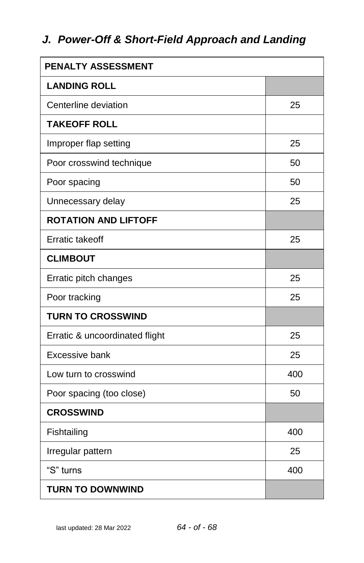# <span id="page-63-0"></span>*J. Power-Off & Short-Field Approach and Landing*

| <b>PENALTY ASSESSMENT</b>      |     |
|--------------------------------|-----|
| <b>LANDING ROLL</b>            |     |
| Centerline deviation           | 25  |
| <b>TAKEOFF ROLL</b>            |     |
| Improper flap setting          | 25  |
| Poor crosswind technique       | 50  |
| Poor spacing                   | 50  |
| Unnecessary delay              | 25  |
| <b>ROTATION AND LIFTOFF</b>    |     |
| <b>Erratic takeoff</b>         | 25  |
| <b>CLIMBOUT</b>                |     |
| Erratic pitch changes          | 25  |
| Poor tracking                  | 25  |
| <b>TURN TO CROSSWIND</b>       |     |
| Erratic & uncoordinated flight | 25  |
| Excessive bank                 | 25  |
| Low turn to crosswind          | 400 |
| Poor spacing (too close)       | 50  |
| <b>CROSSWIND</b>               |     |
| Fishtailing                    | 400 |
| Irregular pattern              | 25  |
| "S" turns                      | 400 |
| <b>TURN TO DOWNWIND</b>        |     |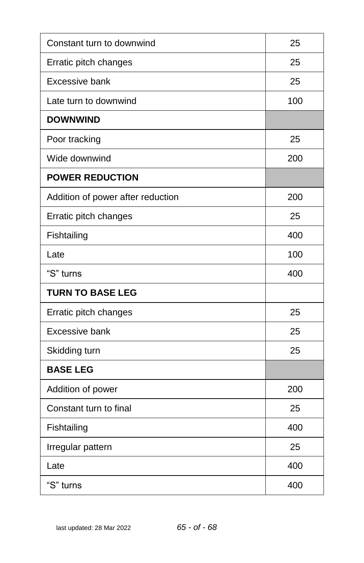| Constant turn to downwind         | 25  |
|-----------------------------------|-----|
| Erratic pitch changes             | 25  |
| Excessive bank                    | 25  |
| Late turn to downwind             | 100 |
| <b>DOWNWIND</b>                   |     |
| Poor tracking                     | 25  |
| Wide downwind                     | 200 |
| <b>POWER REDUCTION</b>            |     |
| Addition of power after reduction | 200 |
| Erratic pitch changes             | 25  |
| Fishtailing                       | 400 |
| Late                              | 100 |
| "S" turns                         | 400 |
| <b>TURN TO BASE LEG</b>           |     |
| Erratic pitch changes             | 25  |
| Excessive bank                    | 25  |
| Skidding turn                     | 25  |
| <b>BASE LEG</b>                   |     |
| Addition of power                 | 200 |
| Constant turn to final            | 25  |
| Fishtailing                       | 400 |
| Irregular pattern                 | 25  |
| Late                              | 400 |
| "S" turns                         | 400 |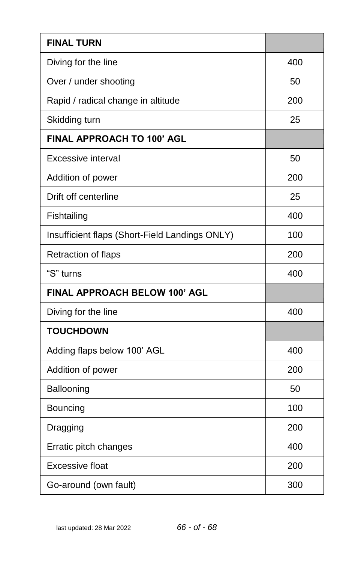| <b>FINAL TURN</b>                              |     |
|------------------------------------------------|-----|
| Diving for the line                            | 400 |
| Over / under shooting                          | 50  |
| Rapid / radical change in altitude             | 200 |
| Skidding turn                                  | 25  |
| FINAL APPROACH TO 100' AGL                     |     |
| Excessive interval                             | 50  |
| Addition of power                              | 200 |
| Drift off centerline                           | 25  |
| Fishtailing                                    | 400 |
| Insufficient flaps (Short-Field Landings ONLY) | 100 |
| Retraction of flaps                            | 200 |
| "S" turns                                      | 400 |
| FINAL APPROACH BELOW 100' AGL                  |     |
| Diving for the line                            | 400 |
| <b>TOUCHDOWN</b>                               |     |
| Adding flaps below 100' AGL                    | 400 |
|                                                |     |
| Addition of power                              | 200 |
| Ballooning                                     | 50  |
| Bouncing                                       | 100 |
| Dragging                                       | 200 |
| Erratic pitch changes                          | 400 |
| Excessive float                                | 200 |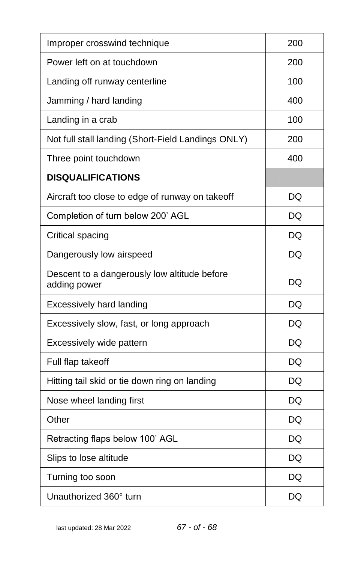| Improper crosswind technique                                 | 200       |
|--------------------------------------------------------------|-----------|
| Power left on at touchdown                                   | 200       |
| Landing off runway centerline                                | 100       |
| Jamming / hard landing                                       | 400       |
| Landing in a crab                                            | 100       |
| Not full stall landing (Short-Field Landings ONLY)           | 200       |
| Three point touchdown                                        | 400       |
| <b>DISQUALIFICATIONS</b>                                     |           |
| Aircraft too close to edge of runway on takeoff              | DQ        |
| Completion of turn below 200' AGL                            | DQ        |
| Critical spacing                                             | <b>DQ</b> |
| Dangerously low airspeed                                     | DQ        |
| Descent to a dangerously low altitude before<br>adding power | DQ        |
| <b>Excessively hard landing</b>                              | DQ        |
| Excessively slow, fast, or long approach                     | DQ        |
| Excessively wide pattern                                     | DQ        |
| Full flap takeoff                                            | DQ        |
| Hitting tail skid or tie down ring on landing                | DQ        |
| Nose wheel landing first                                     | DQ        |
| Other                                                        | DQ        |
| Retracting flaps below 100' AGL                              | DQ        |
| Slips to lose altitude                                       | DQ        |
| Turning too soon                                             | DQ        |
| Unauthorized 360° turn                                       | DQ        |